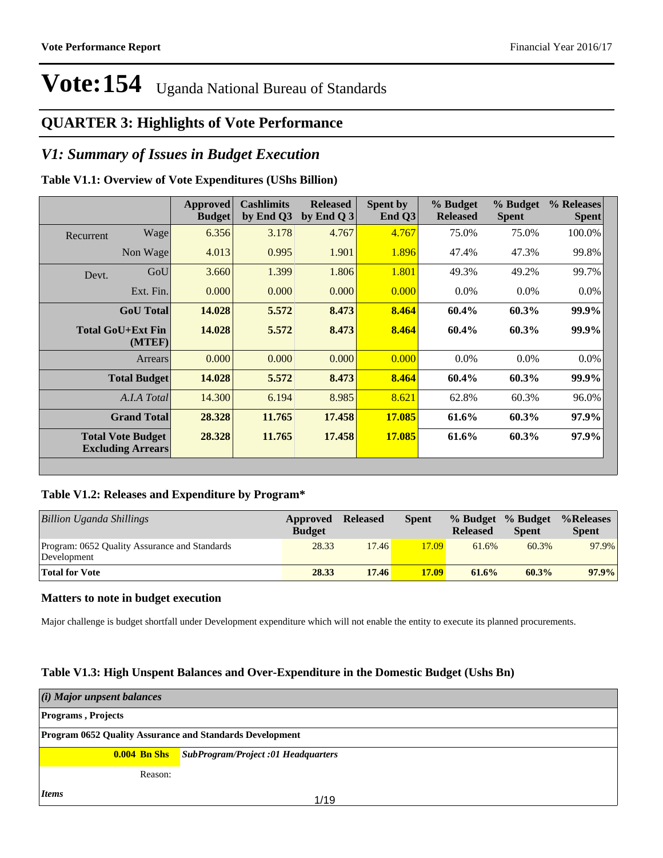### **QUARTER 3: Highlights of Vote Performance**

### *V1: Summary of Issues in Budget Execution*

### **Table V1.1: Overview of Vote Expenditures (UShs Billion)**

|           |                                                      | Approved<br><b>Budget</b> | <b>Cashlimits</b><br>by End Q3 | <b>Released</b><br>by End Q $3$ | <b>Spent by</b><br>End $Q3$ | % Budget<br><b>Released</b> | % Budget<br><b>Spent</b> | % Releases<br><b>Spent</b> |
|-----------|------------------------------------------------------|---------------------------|--------------------------------|---------------------------------|-----------------------------|-----------------------------|--------------------------|----------------------------|
| Recurrent | Wage                                                 | 6.356                     | 3.178                          | 4.767                           | 4.767                       | 75.0%                       | 75.0%                    | 100.0%                     |
|           | Non Wage                                             | 4.013                     | 0.995                          | 1.901                           | 1.896                       | 47.4%                       | 47.3%                    | 99.8%                      |
| Devt.     | GoU                                                  | 3.660                     | 1.399                          | 1.806                           | 1.801                       | 49.3%                       | 49.2%                    | 99.7%                      |
|           | Ext. Fin.                                            | 0.000                     | 0.000                          | 0.000                           | 0.000                       | $0.0\%$                     | $0.0\%$                  | $0.0\%$                    |
|           | <b>GoU</b> Total                                     | 14.028                    | 5.572                          | 8.473                           | 8.464                       | 60.4%                       | 60.3%                    | 99.9%                      |
|           | <b>Total GoU+Ext Fin</b><br>(MTEF)                   | 14.028                    | 5.572                          | 8.473                           | 8.464                       | 60.4%                       | 60.3%                    | 99.9%                      |
|           | Arrears                                              | 0.000                     | 0.000                          | 0.000                           | 0.000                       | $0.0\%$                     | $0.0\%$                  | 0.0%                       |
|           | <b>Total Budget</b>                                  | 14.028                    | 5.572                          | 8.473                           | 8.464                       | 60.4%                       | 60.3%                    | 99.9%                      |
|           | A.I.A Total                                          | 14.300                    | 6.194                          | 8.985                           | 8.621                       | 62.8%                       | 60.3%                    | 96.0%                      |
|           | <b>Grand Total</b>                                   | 28.328                    | 11.765                         | 17.458                          | 17.085                      | 61.6%                       | 60.3%                    | 97.9%                      |
|           | <b>Total Vote Budget</b><br><b>Excluding Arrears</b> | 28.328                    | 11.765                         | 17.458                          | 17.085                      | 61.6%                       | 60.3%                    | 97.9%                      |

### **Table V1.2: Releases and Expenditure by Program\***

| Billion Uganda Shillings                                     | Approved<br><b>Budget</b> | <b>Released</b> | <b>Spent</b> | % Budget % Budget<br><b>Released</b> | <b>Spent</b> | %Releases<br><b>Spent</b> |
|--------------------------------------------------------------|---------------------------|-----------------|--------------|--------------------------------------|--------------|---------------------------|
| Program: 0652 Quality Assurance and Standards<br>Development | 28.33                     | 17.46           | 17.09        | 61.6%                                | 60.3%        | 97.9%                     |
| <b>Total for Vote</b>                                        | 28.33                     | 17.46           | 17.09        | 61.6%                                | 60.3%        | $97.9\%$                  |

### **Matters to note in budget execution**

Major challenge is budget shortfall under Development expenditure which will not enable the entity to execute its planned procurements.

### **Table V1.3: High Unspent Balances and Over-Expenditure in the Domestic Budget (Ushs Bn)**

| $(i)$ Major unpsent balances                             |                                                         |
|----------------------------------------------------------|---------------------------------------------------------|
| <b>Programs, Projects</b>                                |                                                         |
| Program 0652 Quality Assurance and Standards Development |                                                         |
|                                                          | <b>0.004 Bn Shs</b> SubProgram/Project :01 Headquarters |
| Reason:                                                  |                                                         |
| <b>Items</b>                                             | 1/19                                                    |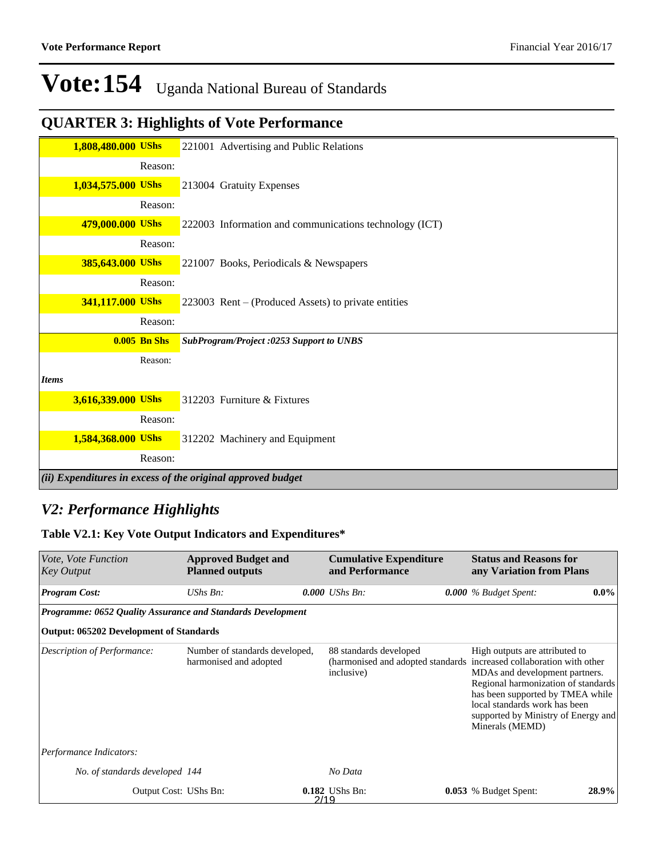## **QUARTER 3: Highlights of Vote Performance**

| 1,808,480.000 UShs |                     | 221001 Advertising and Public Relations                     |
|--------------------|---------------------|-------------------------------------------------------------|
|                    | Reason:             |                                                             |
| 1,034,575.000 UShs |                     | 213004 Gratuity Expenses                                    |
|                    | Reason:             |                                                             |
| 479,000.000 UShs   |                     | 222003 Information and communications technology (ICT)      |
|                    | Reason:             |                                                             |
| 385,643.000 UShs   |                     | 221007 Books, Periodicals & Newspapers                      |
|                    | Reason:             |                                                             |
| 341,117.000 UShs   |                     | 223003 Rent – (Produced Assets) to private entities         |
|                    | Reason:             |                                                             |
|                    | <b>0.005 Bn Shs</b> | SubProgram/Project:0253 Support to UNBS                     |
|                    | Reason:             |                                                             |
| <b>Items</b>       |                     |                                                             |
| 3,616,339.000 UShs |                     | 312203 Furniture & Fixtures                                 |
|                    | Reason:             |                                                             |
| 1,584,368.000 UShs |                     | 312202 Machinery and Equipment                              |
|                    | Reason:             |                                                             |
|                    |                     | (ii) Expenditures in excess of the original approved budget |

### *V2: Performance Highlights*

### **Table V2.1: Key Vote Output Indicators and Expenditures\***

| Vote, Vote Function<br><b>Key Output</b>                    | <b>Approved Budget and</b><br><b>Planned outputs</b>     |      | <b>Cumulative Expenditure</b><br>and Performance                                                             | <b>Status and Reasons for</b><br>any Variation from Plans                                                                                                                                                                              |         |
|-------------------------------------------------------------|----------------------------------------------------------|------|--------------------------------------------------------------------------------------------------------------|----------------------------------------------------------------------------------------------------------------------------------------------------------------------------------------------------------------------------------------|---------|
| <b>Program Cost:</b>                                        | UShs $Bn$ :                                              |      | $0.000$ UShs Bn:                                                                                             | $0.000\%$ Budget Spent:                                                                                                                                                                                                                | $0.0\%$ |
| Programme: 0652 Quality Assurance and Standards Development |                                                          |      |                                                                                                              |                                                                                                                                                                                                                                        |         |
| <b>Output: 065202 Development of Standards</b>              |                                                          |      |                                                                                                              |                                                                                                                                                                                                                                        |         |
| Description of Performance:                                 | Number of standards developed,<br>harmonised and adopted |      | 88 standards developed<br>(harmonised and adopted standards increased collaboration with other<br>inclusive) | High outputs are attributed to<br>MDAs and development partners.<br>Regional harmonization of standards<br>has been supported by TMEA while<br>local standards work has been<br>supported by Ministry of Energy and<br>Minerals (MEMD) |         |
| Performance Indicators:                                     |                                                          |      |                                                                                                              |                                                                                                                                                                                                                                        |         |
| No. of standards developed 144                              |                                                          |      | No Data                                                                                                      |                                                                                                                                                                                                                                        |         |
| Output Cost: UShs Bn:                                       |                                                          | 2/19 | 0.182 UShs Bn:                                                                                               | 0.053 % Budget Spent:                                                                                                                                                                                                                  | 28.9%   |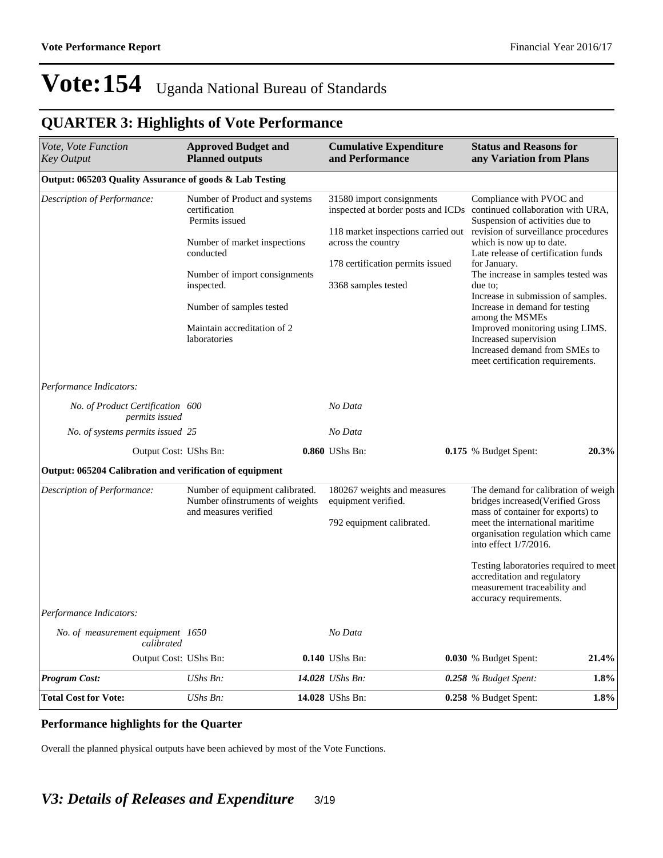## **QUARTER 3: Highlights of Vote Performance**

| Vote, Vote Function<br><b>Key Output</b>                  | <b>Approved Budget and</b><br><b>Planned outputs</b>                                                                                                                                                                                    | <b>Cumulative Expenditure</b><br>and Performance                                                                                                                                                                                                             | <b>Status and Reasons for</b><br>any Variation from Plans                                                                                                                                                                                                                                                                                                                                                                   |       |
|-----------------------------------------------------------|-----------------------------------------------------------------------------------------------------------------------------------------------------------------------------------------------------------------------------------------|--------------------------------------------------------------------------------------------------------------------------------------------------------------------------------------------------------------------------------------------------------------|-----------------------------------------------------------------------------------------------------------------------------------------------------------------------------------------------------------------------------------------------------------------------------------------------------------------------------------------------------------------------------------------------------------------------------|-------|
| Output: 065203 Quality Assurance of goods & Lab Testing   |                                                                                                                                                                                                                                         |                                                                                                                                                                                                                                                              |                                                                                                                                                                                                                                                                                                                                                                                                                             |       |
| Description of Performance:                               | Number of Product and systems<br>certification<br>Permits issued<br>Number of market inspections<br>conducted<br>Number of import consignments<br>inspected.<br>Number of samples tested<br>Maintain accreditation of 2<br>laboratories | 31580 import consignments<br>inspected at border posts and ICDs continued collaboration with URA,<br>118 market inspections carried out revision of surveillance procedures<br>across the country<br>178 certification permits issued<br>3368 samples tested | Compliance with PVOC and<br>Suspension of activities due to<br>which is now up to date.<br>Late release of certification funds<br>for January.<br>The increase in samples tested was<br>due to;<br>Increase in submission of samples.<br>Increase in demand for testing<br>among the MSMEs<br>Improved monitoring using LIMS.<br>Increased supervision<br>Increased demand from SMEs to<br>meet certification requirements. |       |
| Performance Indicators:                                   |                                                                                                                                                                                                                                         |                                                                                                                                                                                                                                                              |                                                                                                                                                                                                                                                                                                                                                                                                                             |       |
| No. of Product Certification 600<br><i>permits issued</i> |                                                                                                                                                                                                                                         | No Data                                                                                                                                                                                                                                                      |                                                                                                                                                                                                                                                                                                                                                                                                                             |       |
| No. of systems permits issued 25                          |                                                                                                                                                                                                                                         | No Data                                                                                                                                                                                                                                                      |                                                                                                                                                                                                                                                                                                                                                                                                                             |       |
| Output Cost: UShs Bn:                                     |                                                                                                                                                                                                                                         | 0.860 UShs Bn:                                                                                                                                                                                                                                               | 0.175 % Budget Spent:                                                                                                                                                                                                                                                                                                                                                                                                       | 20.3% |
| Output: 065204 Calibration and verification of equipment  |                                                                                                                                                                                                                                         |                                                                                                                                                                                                                                                              |                                                                                                                                                                                                                                                                                                                                                                                                                             |       |
| Description of Performance:                               | Number of equipment calibrated.<br>Number of instruments of weights<br>and measures verified                                                                                                                                            | 180267 weights and measures<br>equipment verified.<br>792 equipment calibrated.                                                                                                                                                                              | The demand for calibration of weigh<br>bridges increased(Verified Gross<br>mass of container for exports) to<br>meet the international maritime<br>organisation regulation which came<br>into effect 1/7/2016.<br>Testing laboratories required to meet<br>accreditation and regulatory<br>measurement traceability and<br>accuracy requirements.                                                                           |       |
| Performance Indicators:                                   |                                                                                                                                                                                                                                         |                                                                                                                                                                                                                                                              |                                                                                                                                                                                                                                                                                                                                                                                                                             |       |
| No. of measurement equipment 1650<br>calibrated           |                                                                                                                                                                                                                                         | No Data                                                                                                                                                                                                                                                      |                                                                                                                                                                                                                                                                                                                                                                                                                             |       |
| Output Cost: UShs Bn:                                     |                                                                                                                                                                                                                                         | 0.140 UShs Bn:                                                                                                                                                                                                                                               | 0.030 % Budget Spent:                                                                                                                                                                                                                                                                                                                                                                                                       | 21.4% |
| <b>Program Cost:</b>                                      | UShs Bn:                                                                                                                                                                                                                                | 14.028 UShs Bn:                                                                                                                                                                                                                                              | 0.258 % Budget Spent:                                                                                                                                                                                                                                                                                                                                                                                                       | 1.8%  |
| <b>Total Cost for Vote:</b>                               | UShs Bn:                                                                                                                                                                                                                                | 14.028 UShs Bn:                                                                                                                                                                                                                                              | 0.258 % Budget Spent:                                                                                                                                                                                                                                                                                                                                                                                                       | 1.8%  |

### **Performance highlights for the Quarter**

Overall the planned physical outputs have been achieved by most of the Vote Functions.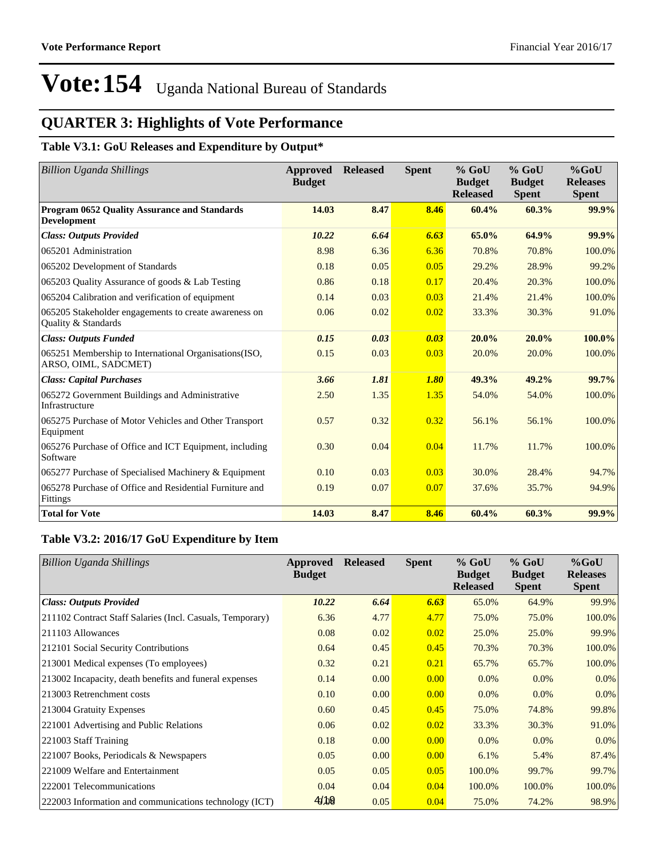### **QUARTER 3: Highlights of Vote Performance**

### **Table V3.1: GoU Releases and Expenditure by Output\***

| <b>Billion Uganda Shillings</b>                                                | Approved<br><b>Budget</b> | <b>Released</b> | <b>Spent</b> | % GoU<br><b>Budget</b><br><b>Released</b> | $%$ GoU<br><b>Budget</b><br><b>Spent</b> | $%$ GoU<br><b>Releases</b><br><b>Spent</b> |
|--------------------------------------------------------------------------------|---------------------------|-----------------|--------------|-------------------------------------------|------------------------------------------|--------------------------------------------|
| <b>Program 0652 Ouality Assurance and Standards</b><br><b>Development</b>      | 14.03                     | 8.47            | 8.46         | 60.4%                                     | 60.3%                                    | 99.9%                                      |
| <b>Class: Outputs Provided</b>                                                 | 10.22                     | 6.64            | 6.63         | 65.0%                                     | 64.9%                                    | 99.9%                                      |
| 065201 Administration                                                          | 8.98                      | 6.36            | 6.36         | 70.8%                                     | 70.8%                                    | 100.0%                                     |
| 065202 Development of Standards                                                | 0.18                      | 0.05            | 0.05         | 29.2%                                     | 28.9%                                    | 99.2%                                      |
| 065203 Quality Assurance of goods & Lab Testing                                | 0.86                      | 0.18            | 0.17         | 20.4%                                     | 20.3%                                    | 100.0%                                     |
| 065204 Calibration and verification of equipment                               | 0.14                      | 0.03            | 0.03         | 21.4%                                     | 21.4%                                    | 100.0%                                     |
| 065205 Stakeholder engagements to create awareness on<br>Quality & Standards   | 0.06                      | 0.02            | 0.02         | 33.3%                                     | 30.3%                                    | 91.0%                                      |
| <b>Class: Outputs Funded</b>                                                   | 0.15                      | 0.03            | 0.03         | $20.0\%$                                  | 20.0%                                    | 100.0%                                     |
| 065251 Membership to International Organisations (ISO,<br>ARSO, OIML, SADCMET) | 0.15                      | 0.03            | 0.03         | 20.0%                                     | 20.0%                                    | 100.0%                                     |
| <b>Class: Capital Purchases</b>                                                | 3.66                      | 1.81            | 1.80         | 49.3%                                     | 49.2%                                    | 99.7%                                      |
| 065272 Government Buildings and Administrative<br>Infrastructure               | 2.50                      | 1.35            | 1.35         | 54.0%                                     | 54.0%                                    | 100.0%                                     |
| 065275 Purchase of Motor Vehicles and Other Transport<br>Equipment             | 0.57                      | 0.32            | 0.32         | 56.1%                                     | 56.1%                                    | 100.0%                                     |
| 065276 Purchase of Office and ICT Equipment, including<br>Software             | 0.30                      | 0.04            | 0.04         | 11.7%                                     | 11.7%                                    | 100.0%                                     |
| 065277 Purchase of Specialised Machinery & Equipment                           | 0.10                      | 0.03            | 0.03         | 30.0%                                     | 28.4%                                    | 94.7%                                      |
| 065278 Purchase of Office and Residential Furniture and<br>Fittings            | 0.19                      | 0.07            | 0.07         | 37.6%                                     | 35.7%                                    | 94.9%                                      |
| <b>Total for Vote</b>                                                          | 14.03                     | 8.47            | 8.46         | 60.4%                                     | 60.3%                                    | 99.9%                                      |

### **Table V3.2: 2016/17 GoU Expenditure by Item**

| Billion Uganda Shillings                                  | Approved<br><b>Budget</b> | <b>Released</b> | <b>Spent</b> | $%$ GoU<br><b>Budget</b><br><b>Released</b> | $%$ GoU<br><b>Budget</b><br><b>Spent</b> | $%$ GoU<br><b>Releases</b><br><b>Spent</b> |
|-----------------------------------------------------------|---------------------------|-----------------|--------------|---------------------------------------------|------------------------------------------|--------------------------------------------|
| <b>Class: Outputs Provided</b>                            | 10.22                     | 6.64            | 6.63         | 65.0%                                       | 64.9%                                    | 99.9%                                      |
| 211102 Contract Staff Salaries (Incl. Casuals, Temporary) | 6.36                      | 4.77            | 4.77         | 75.0%                                       | 75.0%                                    | 100.0%                                     |
| 211103 Allowances                                         | 0.08                      | 0.02            | 0.02         | 25.0%                                       | 25.0%                                    | 99.9%                                      |
| 212101 Social Security Contributions                      | 0.64                      | 0.45            | 0.45         | 70.3%                                       | 70.3%                                    | 100.0%                                     |
| 213001 Medical expenses (To employees)                    | 0.32                      | 0.21            | 0.21         | 65.7%                                       | 65.7%                                    | 100.0%                                     |
| 213002 Incapacity, death benefits and funeral expenses    | 0.14                      | 0.00            | 0.00         | 0.0%                                        | $0.0\%$                                  | 0.0%                                       |
| 213003 Retrenchment costs                                 | 0.10                      | 0.00            | 0.00         | 0.0%                                        | 0.0%                                     | 0.0%                                       |
| 213004 Gratuity Expenses                                  | 0.60                      | 0.45            | 0.45         | 75.0%                                       | 74.8%                                    | 99.8%                                      |
| 221001 Advertising and Public Relations                   | 0.06                      | 0.02            | 0.02         | 33.3%                                       | 30.3%                                    | 91.0%                                      |
| 221003 Staff Training                                     | 0.18                      | 0.00            | 0.00         | 0.0%                                        | $0.0\%$                                  | 0.0%                                       |
| 221007 Books, Periodicals & Newspapers                    | 0.05                      | 0.00            | 0.00         | 6.1%                                        | 5.4%                                     | 87.4%                                      |
| 221009 Welfare and Entertainment                          | 0.05                      | 0.05            | 0.05         | 100.0%                                      | 99.7%                                    | 99.7%                                      |
| 222001 Telecommunications                                 | 0.04                      | 0.04            | 0.04         | 100.0%                                      | 100.0%                                   | 100.0%                                     |
| 222003 Information and communications technology (ICT)    | 4/108                     | 0.05            | 0.04         | 75.0%                                       | 74.2%                                    | 98.9%                                      |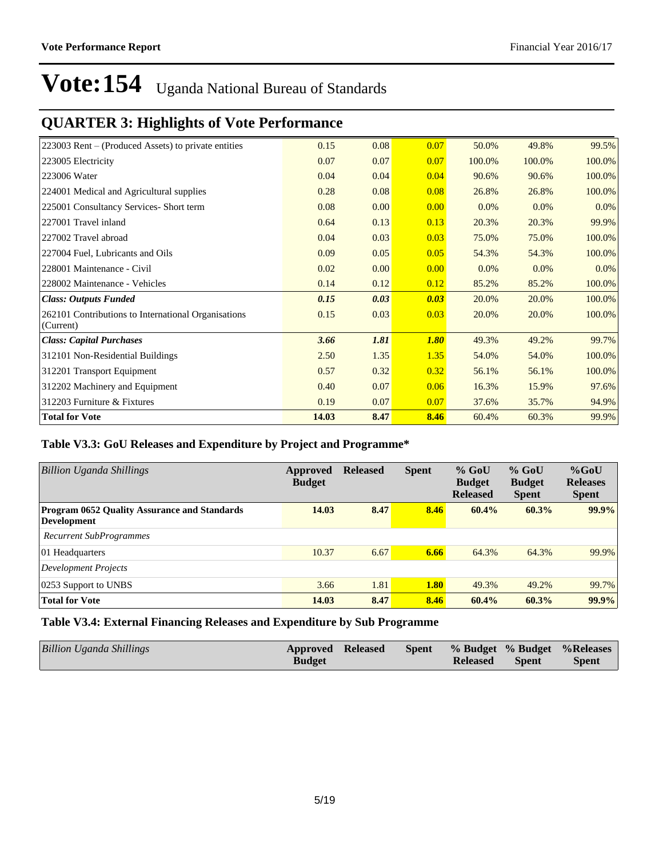## **QUARTER 3: Highlights of Vote Performance**

| 223003 Rent – (Produced Assets) to private entities              | 0.15  | 0.08 | 0.07 | 50.0%  | 49.8%  | 99.5%  |
|------------------------------------------------------------------|-------|------|------|--------|--------|--------|
| 223005 Electricity                                               | 0.07  | 0.07 | 0.07 | 100.0% | 100.0% | 100.0% |
| 223006 Water                                                     | 0.04  | 0.04 | 0.04 | 90.6%  | 90.6%  | 100.0% |
| 224001 Medical and Agricultural supplies                         | 0.28  | 0.08 | 0.08 | 26.8%  | 26.8%  | 100.0% |
| 225001 Consultancy Services- Short term                          | 0.08  | 0.00 | 0.00 | 0.0%   | 0.0%   | 0.0%   |
| 227001 Travel inland                                             | 0.64  | 0.13 | 0.13 | 20.3%  | 20.3%  | 99.9%  |
| 227002 Travel abroad                                             | 0.04  | 0.03 | 0.03 | 75.0%  | 75.0%  | 100.0% |
| 227004 Fuel, Lubricants and Oils                                 | 0.09  | 0.05 | 0.05 | 54.3%  | 54.3%  | 100.0% |
| 228001 Maintenance - Civil                                       | 0.02  | 0.00 | 0.00 | 0.0%   | 0.0%   | 0.0%   |
| 228002 Maintenance - Vehicles                                    | 0.14  | 0.12 | 0.12 | 85.2%  | 85.2%  | 100.0% |
| <b>Class: Outputs Funded</b>                                     | 0.15  | 0.03 | 0.03 | 20.0%  | 20.0%  | 100.0% |
| 262101 Contributions to International Organisations<br>(Current) | 0.15  | 0.03 | 0.03 | 20.0%  | 20.0%  | 100.0% |
| <b>Class: Capital Purchases</b>                                  | 3.66  | 1.81 | 1.80 | 49.3%  | 49.2%  | 99.7%  |
| 312101 Non-Residential Buildings                                 | 2.50  | 1.35 | 1.35 | 54.0%  | 54.0%  | 100.0% |
| 312201 Transport Equipment                                       | 0.57  | 0.32 | 0.32 | 56.1%  | 56.1%  | 100.0% |
| 312202 Machinery and Equipment                                   | 0.40  | 0.07 | 0.06 | 16.3%  | 15.9%  | 97.6%  |
| 312203 Furniture & Fixtures                                      | 0.19  | 0.07 | 0.07 | 37.6%  | 35.7%  | 94.9%  |
| <b>Total for Vote</b>                                            | 14.03 | 8.47 | 8.46 | 60.4%  | 60.3%  | 99.9%  |

### **Table V3.3: GoU Releases and Expenditure by Project and Programme\***

| Billion Uganda Shillings                                                  | Approved<br><b>Budget</b> | <b>Released</b> | <b>Spent</b> | $%$ GoU<br><b>Budget</b><br><b>Released</b> | $%$ GoU<br><b>Budget</b><br><b>Spent</b> | $%$ GoU<br><b>Releases</b><br><b>Spent</b> |
|---------------------------------------------------------------------------|---------------------------|-----------------|--------------|---------------------------------------------|------------------------------------------|--------------------------------------------|
| <b>Program 0652 Quality Assurance and Standards</b><br><b>Development</b> | 14.03                     | 8.47            | 8.46         | $60.4\%$                                    | 60.3%                                    | 99.9%                                      |
| <b>Recurrent SubProgrammes</b>                                            |                           |                 |              |                                             |                                          |                                            |
| 01 Headquarters                                                           | 10.37                     | 6.67            | 6.66         | 64.3%                                       | 64.3%                                    | 99.9%                                      |
| Development Projects                                                      |                           |                 |              |                                             |                                          |                                            |
| 0253 Support to UNBS                                                      | 3.66                      | 1.81            | 1.80         | 49.3%                                       | 49.2%                                    | 99.7%                                      |
| <b>Total for Vote</b>                                                     | 14.03                     | 8.47            | 8.46         | 60.4%                                       | 60.3%                                    | 99.9%                                      |

### **Table V3.4: External Financing Releases and Expenditure by Sub Programme**

| <b>Billion Uganda Shillings</b> | Approved Released |  |                 |       | Spent % Budget % Budget % Releases |
|---------------------------------|-------------------|--|-----------------|-------|------------------------------------|
|                                 | <b>Budget</b>     |  | <b>Released</b> | Spent | <b>Spent</b>                       |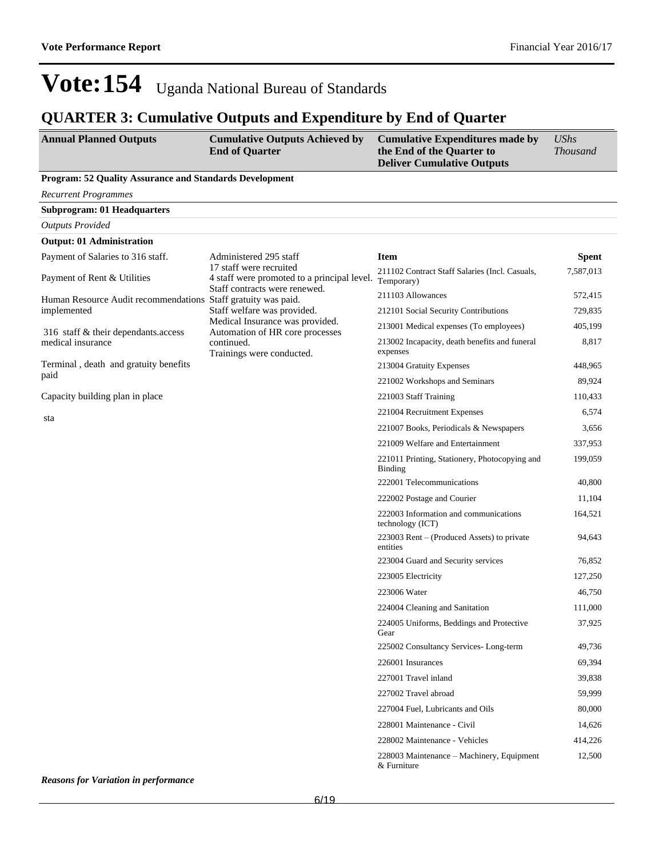## **QUARTER 3: Cumulative Outputs and Expenditure by End of Quarter**

| <b>Annual Planned Outputs</b>                                 | <b>Cumulative Outputs Achieved by</b><br><b>End of Quarter</b>         | <b>Cumulative Expenditures made by</b><br>the End of the Quarter to<br><b>Deliver Cumulative Outputs</b> | <b>UShs</b><br><b>Thousand</b> |
|---------------------------------------------------------------|------------------------------------------------------------------------|----------------------------------------------------------------------------------------------------------|--------------------------------|
| Program: 52 Quality Assurance and Standards Development       |                                                                        |                                                                                                          |                                |
| <b>Recurrent Programmes</b>                                   |                                                                        |                                                                                                          |                                |
| <b>Subprogram: 01 Headquarters</b>                            |                                                                        |                                                                                                          |                                |
| <b>Outputs Provided</b>                                       |                                                                        |                                                                                                          |                                |
| <b>Output: 01 Administration</b>                              |                                                                        |                                                                                                          |                                |
| Payment of Salaries to 316 staff.                             | Administered 295 staff                                                 | <b>Item</b>                                                                                              | <b>Spent</b>                   |
| Payment of Rent & Utilities                                   | 17 staff were recruited<br>4 staff were promoted to a principal level. | 211102 Contract Staff Salaries (Incl. Casuals,<br>Temporary)                                             | 7,587,013                      |
| Human Resource Audit recommendations Staff gratuity was paid. | Staff contracts were renewed.                                          | 211103 Allowances                                                                                        | 572,415                        |
| implemented                                                   | Staff welfare was provided.                                            | 212101 Social Security Contributions                                                                     | 729,835                        |
| 316 staff & their dependants.access                           | Medical Insurance was provided.<br>Automation of HR core processes     | 213001 Medical expenses (To employees)                                                                   | 405,199                        |
| medical insurance                                             | continued.<br>Trainings were conducted.                                | 213002 Incapacity, death benefits and funeral<br>expenses                                                | 8,817                          |
| Terminal, death and gratuity benefits                         |                                                                        | 213004 Gratuity Expenses                                                                                 | 448,965                        |
| paid                                                          |                                                                        | 221002 Workshops and Seminars                                                                            | 89,924                         |
| Capacity building plan in place                               |                                                                        | 221003 Staff Training                                                                                    | 110,433                        |
| sta                                                           |                                                                        | 221004 Recruitment Expenses                                                                              | 6,574                          |
|                                                               |                                                                        | 221007 Books, Periodicals & Newspapers                                                                   | 3,656                          |
|                                                               |                                                                        | 221009 Welfare and Entertainment                                                                         | 337,953                        |
|                                                               |                                                                        | 221011 Printing, Stationery, Photocopying and<br><b>Binding</b>                                          | 199,059                        |
|                                                               |                                                                        | 222001 Telecommunications                                                                                | 40,800                         |
|                                                               |                                                                        | 222002 Postage and Courier                                                                               | 11,104                         |
|                                                               |                                                                        | 222003 Information and communications<br>technology (ICT)                                                | 164,521                        |
|                                                               |                                                                        | 223003 Rent – (Produced Assets) to private<br>entities                                                   | 94,643                         |
|                                                               |                                                                        | 223004 Guard and Security services                                                                       | 76,852                         |
|                                                               |                                                                        | 223005 Electricity                                                                                       | 127,250                        |
|                                                               |                                                                        | 223006 Water                                                                                             | 46,750                         |
|                                                               |                                                                        | 224004 Cleaning and Sanitation                                                                           | 111,000                        |
|                                                               |                                                                        | 224005 Uniforms, Beddings and Protective<br>Gear                                                         | 37,925                         |
|                                                               |                                                                        | 225002 Consultancy Services-Long-term                                                                    | 49,736                         |
|                                                               |                                                                        | 226001 Insurances                                                                                        | 69,394                         |
|                                                               |                                                                        | 227001 Travel inland                                                                                     | 39,838                         |
|                                                               |                                                                        | 227002 Travel abroad                                                                                     | 59,999                         |
|                                                               |                                                                        | 227004 Fuel, Lubricants and Oils                                                                         | 80,000                         |
|                                                               |                                                                        | 228001 Maintenance - Civil                                                                               | 14,626                         |
|                                                               |                                                                        | 228002 Maintenance - Vehicles                                                                            | 414,226                        |
|                                                               |                                                                        | 228003 Maintenance - Machinery, Equipment<br>& Furniture                                                 | 12,500                         |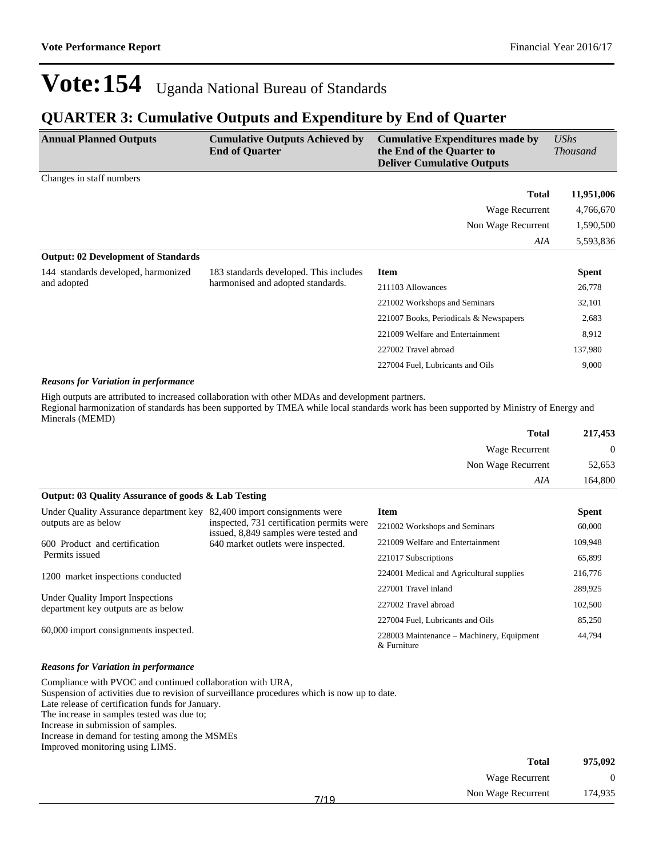### **QUARTER 3: Cumulative Outputs and Expenditure by End of Quarter**

| <b>Annual Planned Outputs</b>              | <b>Cumulative Outputs Achieved by</b><br><b>End of Quarter</b>              | <b>Cumulative Expenditures made by</b><br>the End of the Quarter to<br><b>Deliver Cumulative Outputs</b> | <b>UShs</b><br><i>Thousand</i> |
|--------------------------------------------|-----------------------------------------------------------------------------|----------------------------------------------------------------------------------------------------------|--------------------------------|
| Changes in staff numbers                   |                                                                             |                                                                                                          |                                |
|                                            |                                                                             | Total                                                                                                    | 11,951,006                     |
|                                            |                                                                             | Wage Recurrent                                                                                           | 4,766,670                      |
|                                            |                                                                             | Non Wage Recurrent                                                                                       | 1,590,500                      |
|                                            |                                                                             | AIA                                                                                                      | 5,593,836                      |
| <b>Output: 02 Development of Standards</b> |                                                                             |                                                                                                          |                                |
| 144 standards developed, harmonized        | 183 standards developed. This includes<br>harmonised and adopted standards. | <b>Item</b>                                                                                              | <b>Spent</b>                   |
| and adopted                                |                                                                             | 211103 Allowances                                                                                        | 26,778                         |
|                                            |                                                                             | 221002 Workshops and Seminars                                                                            | 32,101                         |
|                                            |                                                                             | 221007 Books, Periodicals & Newspapers                                                                   | 2,683                          |
|                                            |                                                                             | 221009 Welfare and Entertainment                                                                         | 8,912                          |
|                                            |                                                                             | 227002 Travel abroad                                                                                     | 137,980                        |
|                                            |                                                                             | 227004 Fuel, Lubricants and Oils                                                                         | 9,000                          |
|                                            |                                                                             |                                                                                                          |                                |

#### *Reasons for Variation in performance*

**Output: 03 Quality Assurance of goods & Lab Testing**

High outputs are attributed to increased collaboration with other MDAs and development partners. Regional harmonization of standards has been supported by TMEA while local standards work has been supported by Ministry of Energy and Minerals (MEMD)

| 217,453  | <b>Total</b>       |
|----------|--------------------|
| $\theta$ | Wage Recurrent     |
| 52,653   | Non Wage Recurrent |
| 164,800  | AIA                |
|          |                    |

| Under Quality Assurance department key                                         | 82,400 import consignments were                                                    | <b>Item</b>                                                | <b>Spent</b> |
|--------------------------------------------------------------------------------|------------------------------------------------------------------------------------|------------------------------------------------------------|--------------|
| outputs are as below                                                           | inspected, 731 certification permits were<br>issued, 8,849 samples were tested and | 221002 Workshops and Seminars                              | 60,000       |
| 600 Product and certification                                                  | 640 market outlets were inspected.                                                 | 221009 Welfare and Entertainment                           | 109,948      |
| Permits issued                                                                 |                                                                                    | 221017 Subscriptions                                       | 65,899       |
| 1200 market inspections conducted                                              |                                                                                    | 224001 Medical and Agricultural supplies                   | 216,776      |
|                                                                                |                                                                                    | 227001 Travel inland                                       | 289,925      |
| <b>Under Quality Import Inspections</b><br>department key outputs are as below |                                                                                    | 227002 Travel abroad                                       | 102,500      |
|                                                                                |                                                                                    | 227004 Fuel, Lubricants and Oils                           | 85,250       |
| 60,000 import consignments inspected.                                          |                                                                                    | 228003 Maintenance – Machinery, Equipment<br>$&$ Furniture | 44,794       |

#### *Reasons for Variation in performance*

Compliance with PVOC and continued collaboration with URA, Suspension of activities due to revision of surveillance procedures which is now up to date. Late release of certification funds for January. The increase in samples tested was due to; Increase in submission of samples. Increase in demand for testing among the MSMEs Improved monitoring using LIMS.

|       | <b>Total</b>       | 975,092 |
|-------|--------------------|---------|
|       | Wage Recurrent     |         |
| 7/1 Q | Non Wage Recurrent | 174,935 |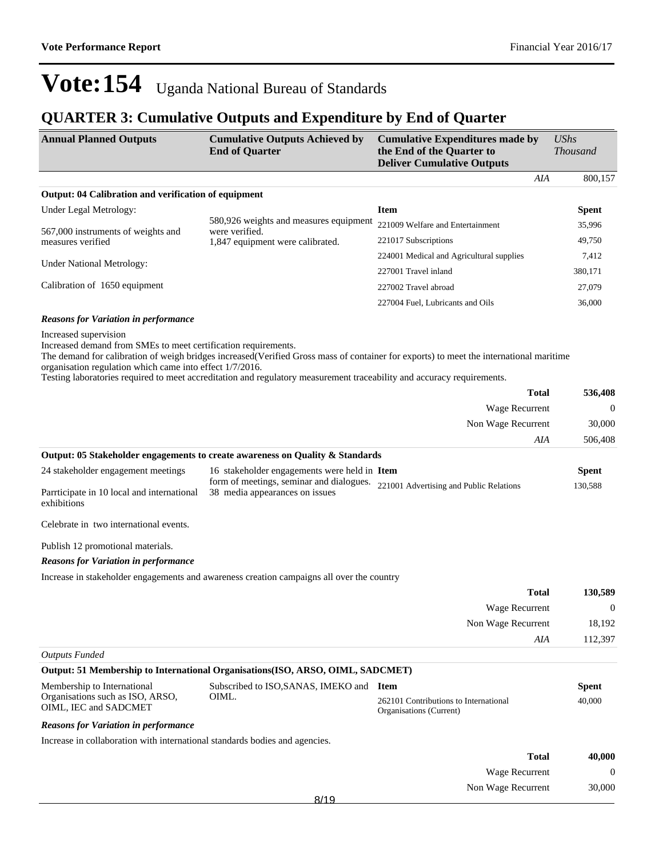### **QUARTER 3: Cumulative Outputs and Expenditure by End of Quarter**

| <b>Annual Planned Outputs</b>                                                                                                                                                                                                                                                 | <b>Cumulative Outputs Achieved by</b><br><b>End of Quarter</b> | <b>Cumulative Expenditures made by</b><br>the End of the Quarter to<br><b>Deliver Cumulative Outputs</b> |       | $\mathit{UShs}$<br><i>Thousand</i> |
|-------------------------------------------------------------------------------------------------------------------------------------------------------------------------------------------------------------------------------------------------------------------------------|----------------------------------------------------------------|----------------------------------------------------------------------------------------------------------|-------|------------------------------------|
|                                                                                                                                                                                                                                                                               |                                                                |                                                                                                          | AIA   | 800,157                            |
|                                                                                                                                                                                                                                                                               |                                                                |                                                                                                          |       |                                    |
| Under Legal Metrology:                                                                                                                                                                                                                                                        |                                                                | Item                                                                                                     |       | <b>Spent</b>                       |
|                                                                                                                                                                                                                                                                               |                                                                | 221009 Welfare and Entertainment                                                                         |       | 35,996                             |
| measures verified                                                                                                                                                                                                                                                             | 1,847 equipment were calibrated.                               | 221017 Subscriptions                                                                                     |       | 49,750                             |
| <b>Output: 04 Calibration and verification of equipment</b><br>580,926 weights and measures equipment<br>567,000 instruments of weights and<br>were verified.<br><b>Under National Metrology:</b><br>$\mathbf{r}$ , $\mathbf{r}$ , $\mathbf{r}$ , $\mathbf{r}$ , $\mathbf{r}$ | 224001 Medical and Agricultural supplies                       |                                                                                                          | 7,412 |                                    |
|                                                                                                                                                                                                                                                                               |                                                                | 227001 Travel inland                                                                                     |       | 380,171                            |
| Calibration of 1650 equipment                                                                                                                                                                                                                                                 |                                                                | 227002 Travel abroad                                                                                     |       | 27,079                             |
|                                                                                                                                                                                                                                                                               |                                                                | 227004 Fuel, Lubricants and Oils                                                                         |       | 36,000                             |
|                                                                                                                                                                                                                                                                               |                                                                |                                                                                                          |       |                                    |

#### *Reasons for Variation in performance*

Increased supervision

Increased demand from SMEs to meet certification requirements.

The demand for calibration of weigh bridges increased(Verified Gross mass of container for exports) to meet the international maritime organisation regulation which came into effect 1/7/2016.

Testing laboratories required to meet accreditation and regulatory measurement traceability and accuracy requirements.

|                                                                             |                                                                                           | <b>Total</b>                                                     | 536,408        |
|-----------------------------------------------------------------------------|-------------------------------------------------------------------------------------------|------------------------------------------------------------------|----------------|
|                                                                             |                                                                                           | Wage Recurrent                                                   | $\overline{0}$ |
|                                                                             |                                                                                           | Non Wage Recurrent                                               | 30,000         |
|                                                                             |                                                                                           | AIA                                                              | 506,408        |
|                                                                             | Output: 05 Stakeholder engagements to create awareness on Quality & Standards             |                                                                  |                |
| 24 stakeholder engagement meetings                                          | 16 stakeholder engagements were held in Item<br>form of meetings, seminar and dialogues.  |                                                                  | <b>Spent</b>   |
| Parrticipate in 10 local and international<br>exhibitions                   | 38 media appearances on issues                                                            | 221001 Advertising and Public Relations                          | 130,588        |
| Celebrate in two international events.                                      |                                                                                           |                                                                  |                |
| Publish 12 promotional materials.                                           |                                                                                           |                                                                  |                |
| <b>Reasons for Variation in performance</b>                                 |                                                                                           |                                                                  |                |
|                                                                             | Increase in stakeholder engagements and awareness creation campaigns all over the country |                                                                  |                |
|                                                                             |                                                                                           | <b>Total</b>                                                     | 130,589        |
|                                                                             |                                                                                           | Wage Recurrent                                                   | $\Omega$       |
|                                                                             |                                                                                           | Non Wage Recurrent                                               | 18,192         |
|                                                                             |                                                                                           | AIA                                                              | 112,397        |
| <b>Outputs Funded</b>                                                       |                                                                                           |                                                                  |                |
|                                                                             | Output: 51 Membership to International Organisations (ISO, ARSO, OIML, SADCMET)           |                                                                  |                |
| Membership to International                                                 | Subscribed to ISO, SANAS, IMEKO and                                                       | <b>Item</b>                                                      | <b>Spent</b>   |
| Organisations such as ISO, ARSO,<br>OIML, IEC and SADCMET                   | OIML.                                                                                     | 262101 Contributions to International<br>Organisations (Current) | 40,000         |
| <b>Reasons for Variation in performance</b>                                 |                                                                                           |                                                                  |                |
| Increase in collaboration with international standards bodies and agencies. |                                                                                           |                                                                  |                |
|                                                                             |                                                                                           | <b>Total</b>                                                     | 40,000         |
|                                                                             |                                                                                           | Wage Recurrent                                                   | $\Omega$       |
|                                                                             |                                                                                           | Non Wage Recurrent                                               | 30,000         |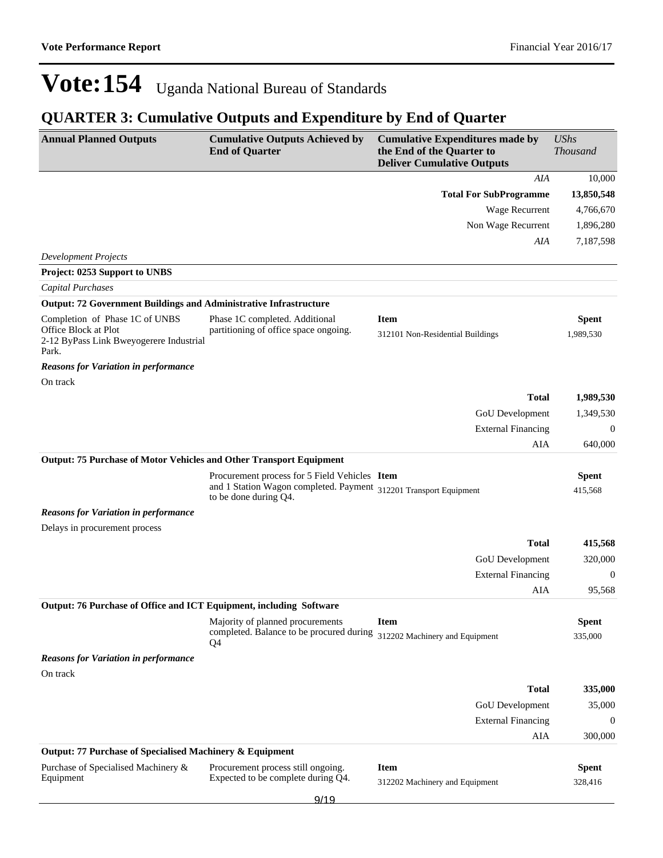## **QUARTER 3: Cumulative Outputs and Expenditure by End of Quarter**

| <b>Annual Planned Outputs</b>                                                                              | <b>Cumulative Outputs Achieved by</b><br><b>End of Quarter</b>                                                                              | <b>Cumulative Expenditures made by</b><br>the End of the Quarter to<br><b>Deliver Cumulative Outputs</b> | <b>UShs</b><br><b>Thousand</b> |
|------------------------------------------------------------------------------------------------------------|---------------------------------------------------------------------------------------------------------------------------------------------|----------------------------------------------------------------------------------------------------------|--------------------------------|
|                                                                                                            |                                                                                                                                             | AIA                                                                                                      | 10,000                         |
|                                                                                                            |                                                                                                                                             | <b>Total For SubProgramme</b>                                                                            | 13,850,548                     |
|                                                                                                            |                                                                                                                                             | Wage Recurrent                                                                                           | 4,766,670                      |
|                                                                                                            |                                                                                                                                             | Non Wage Recurrent                                                                                       | 1,896,280                      |
|                                                                                                            |                                                                                                                                             | AIA                                                                                                      | 7,187,598                      |
| <b>Development Projects</b>                                                                                |                                                                                                                                             |                                                                                                          |                                |
| Project: 0253 Support to UNBS                                                                              |                                                                                                                                             |                                                                                                          |                                |
| <b>Capital Purchases</b>                                                                                   |                                                                                                                                             |                                                                                                          |                                |
| <b>Output: 72 Government Buildings and Administrative Infrastructure</b>                                   |                                                                                                                                             |                                                                                                          |                                |
| Completion of Phase 1C of UNBS<br>Office Block at Plot<br>2-12 ByPass Link Bweyogerere Industrial<br>Park. | Phase 1C completed. Additional<br>partitioning of office space ongoing.                                                                     | <b>Item</b><br>312101 Non-Residential Buildings                                                          | <b>Spent</b><br>1,989,530      |
| <b>Reasons for Variation in performance</b>                                                                |                                                                                                                                             |                                                                                                          |                                |
| On track                                                                                                   |                                                                                                                                             |                                                                                                          |                                |
|                                                                                                            |                                                                                                                                             | <b>Total</b>                                                                                             | 1,989,530                      |
|                                                                                                            |                                                                                                                                             | GoU Development                                                                                          | 1,349,530                      |
|                                                                                                            |                                                                                                                                             | <b>External Financing</b>                                                                                | $\theta$                       |
|                                                                                                            |                                                                                                                                             | <b>AIA</b>                                                                                               | 640,000                        |
| <b>Output: 75 Purchase of Motor Vehicles and Other Transport Equipment</b>                                 |                                                                                                                                             |                                                                                                          |                                |
|                                                                                                            | Procurement process for 5 Field Vehicles Item<br>and 1 Station Wagon completed. Payment 312201 Transport Equipment<br>to be done during Q4. |                                                                                                          | <b>Spent</b><br>415,568        |
| <b>Reasons for Variation in performance</b>                                                                |                                                                                                                                             |                                                                                                          |                                |
| Delays in procurement process                                                                              |                                                                                                                                             |                                                                                                          |                                |
|                                                                                                            |                                                                                                                                             | <b>Total</b>                                                                                             | 415,568                        |
|                                                                                                            |                                                                                                                                             | GoU Development                                                                                          | 320,000                        |
|                                                                                                            |                                                                                                                                             | <b>External Financing</b>                                                                                | $\overline{0}$                 |
|                                                                                                            |                                                                                                                                             | AIA                                                                                                      | 95,568                         |
| Output: 76 Purchase of Office and ICT Equipment, including Software                                        |                                                                                                                                             |                                                                                                          |                                |
|                                                                                                            | Majority of planned procurements<br>completed. Balance to be procured during<br>Q <sub>4</sub>                                              | <b>Item</b><br>312202 Machinery and Equipment                                                            | <b>Spent</b><br>335,000        |
| <b>Reasons for Variation in performance</b>                                                                |                                                                                                                                             |                                                                                                          |                                |
| On track                                                                                                   |                                                                                                                                             |                                                                                                          |                                |
|                                                                                                            |                                                                                                                                             | <b>Total</b>                                                                                             | 335,000                        |
|                                                                                                            |                                                                                                                                             | GoU Development                                                                                          | 35,000                         |
|                                                                                                            |                                                                                                                                             | <b>External Financing</b>                                                                                | $\boldsymbol{0}$               |
|                                                                                                            |                                                                                                                                             | AIA                                                                                                      | 300,000                        |
| Output: 77 Purchase of Specialised Machinery & Equipment                                                   |                                                                                                                                             |                                                                                                          |                                |
| Purchase of Specialised Machinery &<br>Equipment                                                           | Procurement process still ongoing.<br>Expected to be complete during Q4.                                                                    | <b>Item</b><br>312202 Machinery and Equipment                                                            | <b>Spent</b><br>328,416        |
|                                                                                                            | 9/19                                                                                                                                        |                                                                                                          |                                |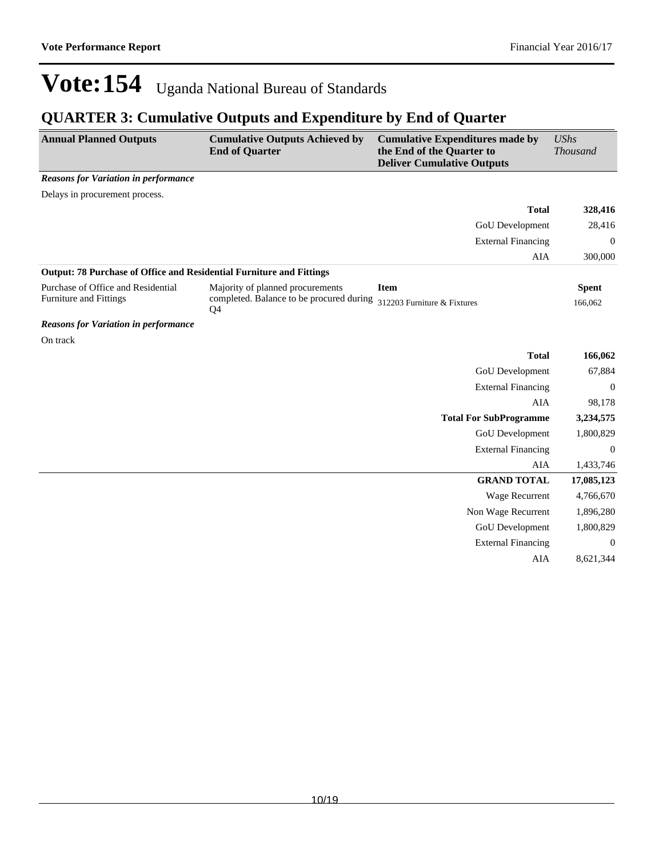## **QUARTER 3: Cumulative Outputs and Expenditure by End of Quarter**

| <b>Annual Planned Outputs</b>                                        | <b>Cumulative Outputs Achieved by</b><br><b>End of Quarter</b> | <b>Cumulative Expenditures made by</b><br>the End of the Quarter to<br><b>Deliver Cumulative Outputs</b> | <b>UShs</b><br><b>Thousand</b> |
|----------------------------------------------------------------------|----------------------------------------------------------------|----------------------------------------------------------------------------------------------------------|--------------------------------|
| <b>Reasons for Variation in performance</b>                          |                                                                |                                                                                                          |                                |
| Delays in procurement process.                                       |                                                                |                                                                                                          |                                |
|                                                                      |                                                                | <b>Total</b>                                                                                             | 328,416                        |
|                                                                      |                                                                | GoU Development                                                                                          | 28,416                         |
|                                                                      |                                                                | <b>External Financing</b>                                                                                | $\mathbf{0}$                   |
|                                                                      |                                                                | <b>AIA</b>                                                                                               | 300,000                        |
| Output: 78 Purchase of Office and Residential Furniture and Fittings |                                                                |                                                                                                          |                                |
| Purchase of Office and Residential                                   | Majority of planned procurements                               | <b>Item</b>                                                                                              | <b>Spent</b>                   |
| Furniture and Fittings                                               | completed. Balance to be procured during<br><b>O4</b>          | 312203 Furniture & Fixtures                                                                              | 166,062                        |
| <b>Reasons for Variation in performance</b>                          |                                                                |                                                                                                          |                                |
| On track                                                             |                                                                |                                                                                                          |                                |
|                                                                      |                                                                | <b>Total</b>                                                                                             | 166,062                        |
|                                                                      |                                                                | GoU Development                                                                                          | 67,884                         |
|                                                                      |                                                                | <b>External Financing</b>                                                                                | $\mathbf{0}$                   |
|                                                                      |                                                                | <b>AIA</b>                                                                                               | 98,178                         |
|                                                                      |                                                                | <b>Total For SubProgramme</b>                                                                            | 3,234,575                      |
|                                                                      |                                                                | GoU Development                                                                                          | 1,800,829                      |
|                                                                      |                                                                | <b>External Financing</b>                                                                                | $\boldsymbol{0}$               |
|                                                                      |                                                                | <b>AIA</b>                                                                                               | 1,433,746                      |
|                                                                      |                                                                | <b>GRAND TOTAL</b>                                                                                       | 17,085,123                     |
|                                                                      |                                                                | Wage Recurrent                                                                                           | 4,766,670                      |
|                                                                      |                                                                | Non Wage Recurrent                                                                                       | 1,896,280                      |
|                                                                      |                                                                | GoU Development                                                                                          | 1,800,829                      |
|                                                                      |                                                                | <b>External Financing</b>                                                                                | $\mathbf{0}$                   |
|                                                                      |                                                                | AIA                                                                                                      | 8,621,344                      |
|                                                                      |                                                                |                                                                                                          |                                |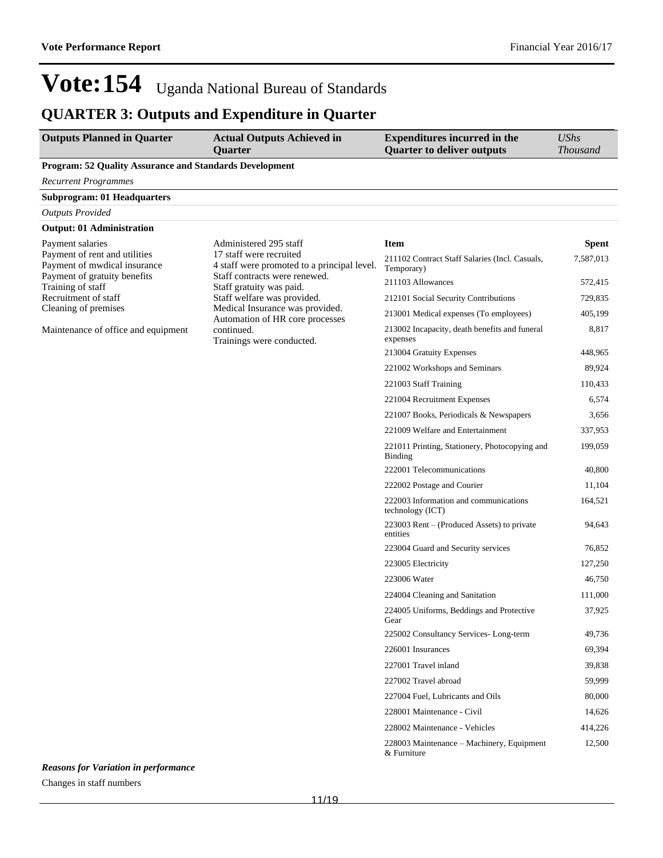## **QUARTER 3: Outputs and Expenditure in Quarter**

| <b>Outputs Planned in Quarter</b>                             | <b>Actual Outputs Achieved in</b><br><b>Quarter</b>                                                     | <b>Expenditures incurred in the</b><br><b>Quarter to deliver outputs</b> | <b>UShs</b><br><b>Thousand</b> |
|---------------------------------------------------------------|---------------------------------------------------------------------------------------------------------|--------------------------------------------------------------------------|--------------------------------|
| Program: 52 Quality Assurance and Standards Development       |                                                                                                         |                                                                          |                                |
| <b>Recurrent Programmes</b>                                   |                                                                                                         |                                                                          |                                |
| <b>Subprogram: 01 Headquarters</b>                            |                                                                                                         |                                                                          |                                |
| <b>Outputs Provided</b>                                       |                                                                                                         |                                                                          |                                |
| <b>Output: 01 Administration</b>                              |                                                                                                         |                                                                          |                                |
| Payment salaries                                              | Administered 295 staff                                                                                  | <b>Item</b>                                                              | <b>Spent</b>                   |
| Payment of rent and utilities<br>Payment of mwdical insurance | 17 staff were recruited<br>4 staff were promoted to a principal level.<br>Staff contracts were renewed. | 211102 Contract Staff Salaries (Incl. Casuals,<br>Temporary)             | 7,587,013                      |
| Payment of gratuity benefits<br>Training of staff             | Staff gratuity was paid.                                                                                | 211103 Allowances                                                        | 572,415                        |
| Recruitment of staff                                          | Staff welfare was provided.                                                                             | 212101 Social Security Contributions                                     | 729,835                        |
| Cleaning of premises                                          | Medical Insurance was provided.<br>Automation of HR core processes                                      | 213001 Medical expenses (To employees)                                   | 405,199                        |
| Maintenance of office and equipment                           | continued.<br>Trainings were conducted.                                                                 | 213002 Incapacity, death benefits and funeral<br>expenses                | 8,817                          |
|                                                               |                                                                                                         | 213004 Gratuity Expenses                                                 | 448,965                        |
|                                                               |                                                                                                         | 221002 Workshops and Seminars                                            | 89,924                         |
|                                                               |                                                                                                         | 221003 Staff Training                                                    | 110,433                        |
|                                                               |                                                                                                         | 221004 Recruitment Expenses                                              | 6,574                          |
|                                                               |                                                                                                         | 221007 Books, Periodicals & Newspapers                                   | 3,656                          |
|                                                               |                                                                                                         | 221009 Welfare and Entertainment                                         | 337,953                        |
|                                                               |                                                                                                         | 221011 Printing, Stationery, Photocopying and<br>Binding                 | 199,059                        |
|                                                               |                                                                                                         | 222001 Telecommunications                                                | 40,800                         |
|                                                               |                                                                                                         | 222002 Postage and Courier                                               | 11,104                         |
|                                                               |                                                                                                         | 222003 Information and communications<br>technology (ICT)                | 164,521                        |
|                                                               |                                                                                                         | 223003 Rent – (Produced Assets) to private<br>entities                   | 94,643                         |
|                                                               |                                                                                                         | 223004 Guard and Security services                                       | 76,852                         |
|                                                               |                                                                                                         | 223005 Electricity                                                       | 127,250                        |
|                                                               |                                                                                                         | 223006 Water                                                             | 46,750                         |
|                                                               |                                                                                                         | 224004 Cleaning and Sanitation                                           | 111,000                        |
|                                                               |                                                                                                         | 224005 Uniforms, Beddings and Protective<br>Gear                         | 37,925                         |
|                                                               |                                                                                                         | 225002 Consultancy Services-Long-term                                    | 49,736                         |
|                                                               |                                                                                                         | 226001 Insurances                                                        | 69,394                         |
|                                                               |                                                                                                         | 227001 Travel inland                                                     | 39,838                         |
|                                                               |                                                                                                         | 227002 Travel abroad                                                     | 59,999                         |
|                                                               |                                                                                                         | 227004 Fuel, Lubricants and Oils                                         | 80,000                         |
|                                                               |                                                                                                         | 228001 Maintenance - Civil                                               | 14,626                         |
|                                                               |                                                                                                         | 228002 Maintenance - Vehicles                                            | 414,226                        |
|                                                               |                                                                                                         | 228003 Maintenance - Machinery, Equipment<br>& Furniture                 | 12,500                         |

*Reasons for Variation in performance*

Changes in staff numbers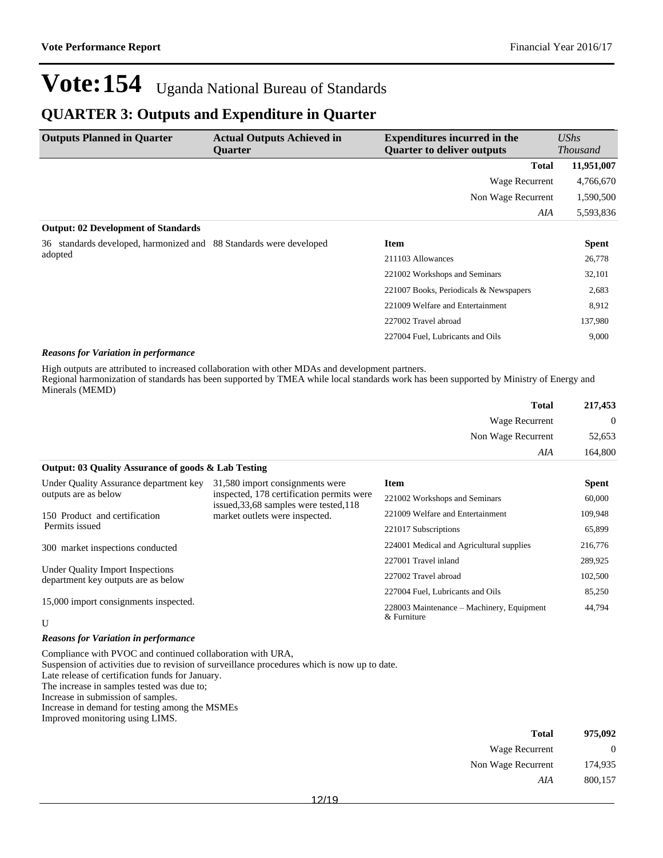### **QUARTER 3: Outputs and Expenditure in Quarter**

| <b>Outputs Planned in Quarter</b>                                  | <b>Actual Outputs Achieved in</b><br><b>Ouarter</b> | <b>Expenditures incurred in the</b><br><b>Quarter to deliver outputs</b> | UShs<br><b>Thousand</b> |
|--------------------------------------------------------------------|-----------------------------------------------------|--------------------------------------------------------------------------|-------------------------|
|                                                                    |                                                     | <b>Total</b>                                                             | 11,951,007              |
|                                                                    |                                                     | Wage Recurrent                                                           | 4,766,670               |
|                                                                    |                                                     | Non Wage Recurrent                                                       | 1,590,500               |
|                                                                    |                                                     | AIA                                                                      | 5,593,836               |
| <b>Output: 02 Development of Standards</b>                         |                                                     |                                                                          |                         |
| 36 standards developed, harmonized and 88 Standards were developed |                                                     | <b>Item</b>                                                              | <b>Spent</b>            |
| adopted                                                            |                                                     | 211103 Allowances                                                        | 26,778                  |
|                                                                    |                                                     | 221002 Workshops and Seminars                                            | 32,101                  |
|                                                                    |                                                     | 221007 Books, Periodicals & Newspapers                                   | 2,683                   |
|                                                                    |                                                     | 221009 Welfare and Entertainment                                         | 8,912                   |
|                                                                    |                                                     | 227002 Travel abroad                                                     | 137,980                 |
| $\sim$ $\sim$ $\sim$ $\sim$ $\sim$                                 |                                                     | 227004 Fuel, Lubricants and Oils                                         | 9,000                   |

#### *Reasons for Variation in performance*

High outputs are attributed to increased collaboration with other MDAs and development partners.

Regional harmonization of standards has been supported by TMEA while local standards work has been supported by Ministry of Energy and Minerals (MEMD)

| 217,453          | <b>Total</b>       |
|------------------|--------------------|
| $\boldsymbol{0}$ | Wage Recurrent     |
| 52,653           | Non Wage Recurrent |
| 164,800          | AIA                |

| Output: 03 Quality Assurance of goods & Lab Testing                            |                                                                                      |                                           |              |
|--------------------------------------------------------------------------------|--------------------------------------------------------------------------------------|-------------------------------------------|--------------|
| Under Quality Assurance department key                                         | 31,580 import consignments were                                                      | <b>Item</b>                               | <b>Spent</b> |
| outputs are as below                                                           | inspected, 178 certification permits were<br>issued, 33, 68 samples were tested, 118 | 221002 Workshops and Seminars             | 60,000       |
| 150 Product and certification                                                  | market outlets were inspected.                                                       | 221009 Welfare and Entertainment          | 109,948      |
| Permits issued                                                                 |                                                                                      | 221017 Subscriptions                      | 65,899       |
| 300 market inspections conducted                                               |                                                                                      | 224001 Medical and Agricultural supplies  | 216,776      |
|                                                                                |                                                                                      | 227001 Travel inland                      | 289,925      |
| <b>Under Quality Import Inspections</b><br>department key outputs are as below |                                                                                      | 227002 Travel abroad                      | 102,500      |
|                                                                                |                                                                                      | 227004 Fuel. Lubricants and Oils          | 85,250       |
| 15,000 import consignments inspected.                                          |                                                                                      | 228003 Maintenance – Machinery, Equipment | 44,794       |
| $\mathbf{U}$                                                                   |                                                                                      | $&$ Furniture                             |              |

#### *Reasons for Variation in performance*

Compliance with PVOC and continued collaboration with URA, Suspension of activities due to revision of surveillance procedures which is now up to date. Late release of certification funds for January. The increase in samples tested was due to; Increase in submission of samples. Increase in demand for testing among the MSMEs Improved monitoring using LIMS.

| Total              | 975,092  |
|--------------------|----------|
| Wage Recurrent     | $\theta$ |
| Non Wage Recurrent | 174.935  |
| AIA                | 800,157  |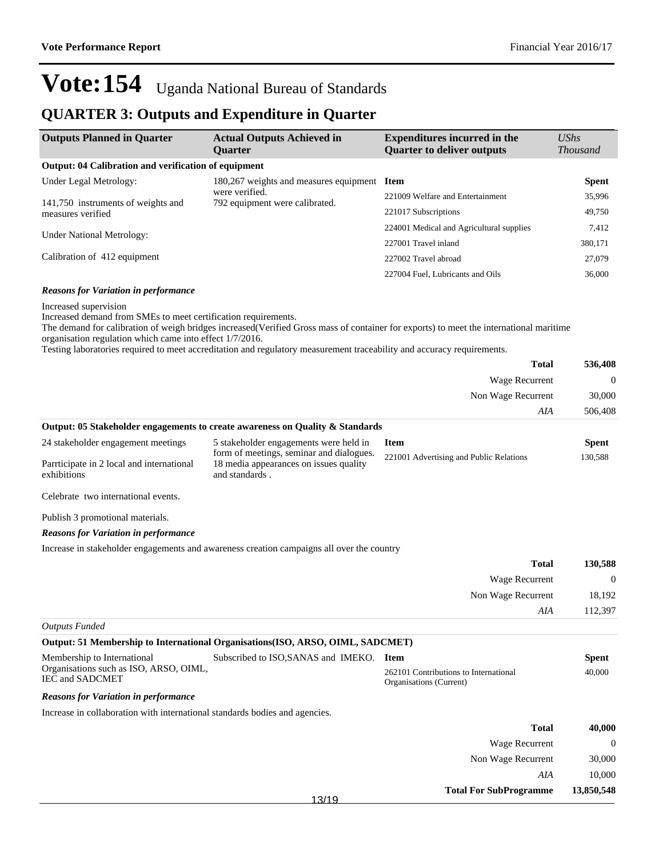*AIA* 112,397

## **Vote:154** Uganda National Bureau of Standards

### **QUARTER 3: Outputs and Expenditure in Quarter**

| <b>Outputs Planned in Quarter</b>                                | <b>Actual Outputs Achieved in</b><br><b>Ouarter</b>                                             | <b>Expenditures incurred in the</b><br><b>Quarter to deliver outputs</b> | $\mathit{UShs}$<br><i>Thousand</i> |
|------------------------------------------------------------------|-------------------------------------------------------------------------------------------------|--------------------------------------------------------------------------|------------------------------------|
| <b>Output: 04 Calibration and verification of equipment</b>      |                                                                                                 |                                                                          |                                    |
| Under Legal Metrology:                                           | 180,267 weights and measures equipment Item<br>were verified.<br>792 equipment were calibrated. |                                                                          | <b>Spent</b>                       |
| 141,750 instruments of weights and<br>measures verified          |                                                                                                 | 221009 Welfare and Entertainment                                         | 35,996                             |
|                                                                  |                                                                                                 | 221017 Subscriptions                                                     | 49,750                             |
| <b>Under National Metrology:</b><br>Calibration of 412 equipment |                                                                                                 | 224001 Medical and Agricultural supplies                                 | 7,412                              |
|                                                                  |                                                                                                 | 227001 Travel inland                                                     | 380,171                            |
|                                                                  |                                                                                                 | 227002 Travel abroad                                                     | 27,079                             |
|                                                                  |                                                                                                 | 227004 Fuel. Lubricants and Oils                                         | 36,000                             |

#### *Reasons for Variation in performance*

Increased supervision

Increased demand from SMEs to meet certification requirements.

The demand for calibration of weigh bridges increased(Verified Gross mass of container for exports) to meet the international maritime organisation regulation which came into effect 1/7/2016.

Testing laboratories required to meet accreditation and regulatory measurement traceability and accuracy requirements.

|                                                          |                                                                                                      | <b>Total</b>                            | 536,408      |
|----------------------------------------------------------|------------------------------------------------------------------------------------------------------|-----------------------------------------|--------------|
|                                                          |                                                                                                      | Wage Recurrent                          | $\theta$     |
|                                                          |                                                                                                      | Non Wage Recurrent                      | 30,000       |
|                                                          |                                                                                                      | AIA                                     | 506,408      |
|                                                          | Output: 05 Stakeholder engagements to create awareness on Quality & Standards                        |                                         |              |
| 24 stakeholder engagement meetings                       | 5 stakeholder engagements were held in                                                               | <b>Item</b>                             | <b>Spent</b> |
| Parrticipate in 2 local and international<br>exhibitions | form of meetings, seminar and dialogues.<br>18 media appearances on issues quality<br>and standards. | 221001 Advertising and Public Relations | 130,588      |
| Celebrate two international events.                      |                                                                                                      |                                         |              |
| Publish 3 promotional materials.                         |                                                                                                      |                                         |              |
| <b>Reasons for Variation in performance</b>              |                                                                                                      |                                         |              |
|                                                          | Increase in stakeholder engagements and awareness creation campaigns all over the country            |                                         |              |
|                                                          |                                                                                                      | <b>Total</b>                            | 130,588      |
|                                                          |                                                                                                      | Wage Recurrent                          | $\theta$     |
|                                                          |                                                                                                      | Non Wage Recurrent                      | 18,192       |

| Outputs Funded                                                                  |  |
|---------------------------------------------------------------------------------|--|
| Output: 51 Membership to International Organisations (ISO, ARSO, OIML, SADCMET) |  |

| Membership to International                                      | Subscribed to ISO.SANAS and IMEKO. Item |                                                                  | Spent  |
|------------------------------------------------------------------|-----------------------------------------|------------------------------------------------------------------|--------|
| Organisations such as ISO, ARSO, OIML,<br><b>IEC and SADCMET</b> |                                         | 262101 Contributions to International<br>Organisations (Current) | 40,000 |

#### *Reasons for Variation in performance*

Increase in collaboration with international standards bodies and agencies.

| <b>Total</b>                  |       |
|-------------------------------|-------|
| Wage Recurrent                |       |
| Non Wage Recurrent            |       |
| AIA                           |       |
| <b>Total For SubProgramme</b> | 13/19 |
|                               |       |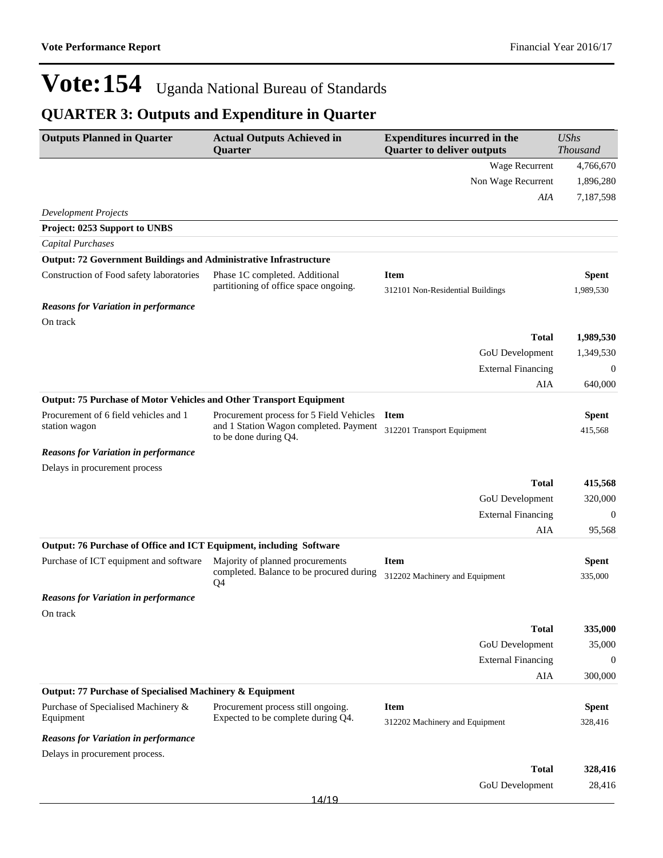## **QUARTER 3: Outputs and Expenditure in Quarter**

| <b>Outputs Planned in Quarter</b><br><b>Actual Outputs Achieved in</b><br><b>Expenditures incurred in the</b><br><b>Quarter to deliver outputs</b><br><b>Quarter</b> |                                                                         | <b>UShs</b><br><b>Thousand</b>                  |                           |
|----------------------------------------------------------------------------------------------------------------------------------------------------------------------|-------------------------------------------------------------------------|-------------------------------------------------|---------------------------|
|                                                                                                                                                                      |                                                                         | Wage Recurrent                                  | 4,766,670                 |
|                                                                                                                                                                      |                                                                         | Non Wage Recurrent                              | 1,896,280                 |
|                                                                                                                                                                      |                                                                         | AIA                                             | 7,187,598                 |
| <b>Development Projects</b>                                                                                                                                          |                                                                         |                                                 |                           |
| Project: 0253 Support to UNBS                                                                                                                                        |                                                                         |                                                 |                           |
| Capital Purchases                                                                                                                                                    |                                                                         |                                                 |                           |
| <b>Output: 72 Government Buildings and Administrative Infrastructure</b>                                                                                             |                                                                         |                                                 |                           |
| Construction of Food safety laboratories                                                                                                                             | Phase 1C completed. Additional<br>partitioning of office space ongoing. | <b>Item</b><br>312101 Non-Residential Buildings | <b>Spent</b><br>1,989,530 |
| <b>Reasons for Variation in performance</b>                                                                                                                          |                                                                         |                                                 |                           |
| On track                                                                                                                                                             |                                                                         |                                                 |                           |
|                                                                                                                                                                      |                                                                         | <b>Total</b>                                    | 1,989,530                 |
|                                                                                                                                                                      |                                                                         | GoU Development                                 | 1,349,530                 |
|                                                                                                                                                                      |                                                                         | <b>External Financing</b>                       | $\theta$                  |
|                                                                                                                                                                      |                                                                         | AIA                                             | 640,000                   |
| Output: 75 Purchase of Motor Vehicles and Other Transport Equipment                                                                                                  |                                                                         |                                                 |                           |
| Procurement of 6 field vehicles and 1                                                                                                                                | Procurement process for 5 Field Vehicles                                | <b>Item</b>                                     | <b>Spent</b>              |
| station wagon                                                                                                                                                        | and 1 Station Wagon completed. Payment<br>to be done during Q4.         | 312201 Transport Equipment                      | 415,568                   |
| <b>Reasons for Variation in performance</b>                                                                                                                          |                                                                         |                                                 |                           |
| Delays in procurement process                                                                                                                                        |                                                                         |                                                 |                           |
|                                                                                                                                                                      |                                                                         | <b>Total</b>                                    | 415,568                   |
|                                                                                                                                                                      |                                                                         | GoU Development                                 | 320,000                   |
|                                                                                                                                                                      |                                                                         | <b>External Financing</b>                       | $\theta$                  |
|                                                                                                                                                                      |                                                                         | AIA                                             | 95,568                    |
| Output: 76 Purchase of Office and ICT Equipment, including Software                                                                                                  |                                                                         |                                                 |                           |
| Purchase of ICT equipment and software                                                                                                                               | Majority of planned procurements                                        | <b>Item</b>                                     | <b>Spent</b>              |
|                                                                                                                                                                      | completed. Balance to be procured during<br>Q <sub>4</sub>              | 312202 Machinery and Equipment                  | 335,000                   |
| <b>Reasons for Variation in performance</b>                                                                                                                          |                                                                         |                                                 |                           |
| On track                                                                                                                                                             |                                                                         |                                                 |                           |
|                                                                                                                                                                      |                                                                         | <b>Total</b>                                    | 335,000                   |
|                                                                                                                                                                      |                                                                         | GoU Development                                 | 35,000                    |
|                                                                                                                                                                      |                                                                         | <b>External Financing</b>                       | $\overline{0}$            |
|                                                                                                                                                                      |                                                                         | AIA                                             | 300,000                   |
| Output: 77 Purchase of Specialised Machinery & Equipment                                                                                                             |                                                                         |                                                 |                           |
| Purchase of Specialised Machinery &                                                                                                                                  | Procurement process still ongoing.                                      | <b>Item</b>                                     | <b>Spent</b>              |
| Equipment                                                                                                                                                            | Expected to be complete during Q4.                                      | 312202 Machinery and Equipment                  | 328,416                   |
| <b>Reasons for Variation in performance</b>                                                                                                                          |                                                                         |                                                 |                           |
| Delays in procurement process.                                                                                                                                       |                                                                         |                                                 |                           |
|                                                                                                                                                                      |                                                                         | <b>Total</b>                                    | 328,416                   |
|                                                                                                                                                                      |                                                                         | GoU Development                                 | 28,416                    |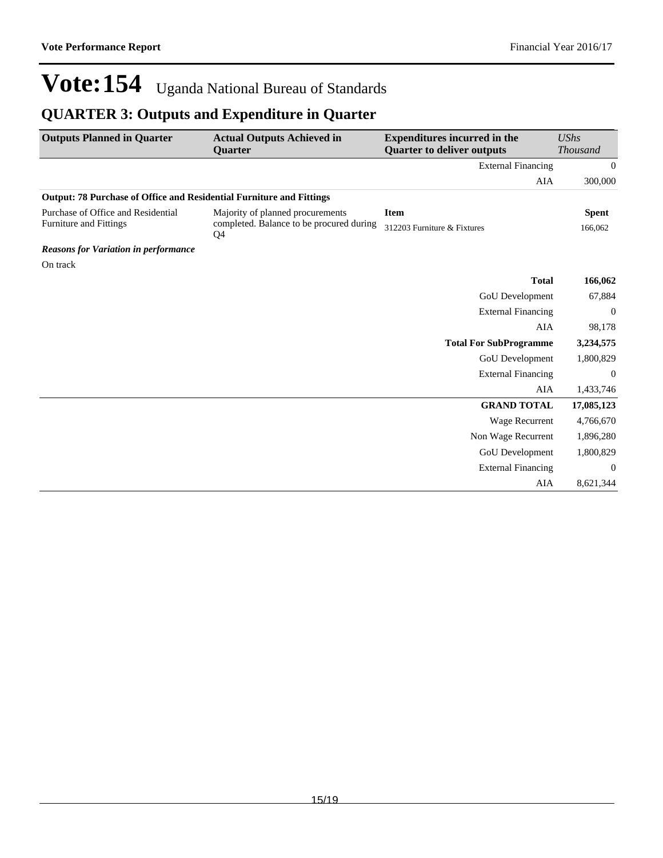## **QUARTER 3: Outputs and Expenditure in Quarter**

| <b>Outputs Planned in Quarter</b>                                           | <b>Actual Outputs Achieved in</b><br><b>Quarter</b> | <b>Expenditures incurred in the</b><br><b>Quarter to deliver outputs</b> | <b>UShs</b><br><b>Thousand</b> |
|-----------------------------------------------------------------------------|-----------------------------------------------------|--------------------------------------------------------------------------|--------------------------------|
|                                                                             |                                                     | <b>External Financing</b>                                                | $\theta$                       |
|                                                                             |                                                     | <b>AIA</b>                                                               | 300,000                        |
| <b>Output: 78 Purchase of Office and Residential Furniture and Fittings</b> |                                                     |                                                                          |                                |
| Purchase of Office and Residential                                          | Majority of planned procurements                    | <b>Item</b>                                                              | <b>Spent</b>                   |
| <b>Furniture and Fittings</b>                                               | completed. Balance to be procured during<br>O4      | 312203 Furniture & Fixtures                                              | 166,062                        |
| <b>Reasons for Variation in performance</b>                                 |                                                     |                                                                          |                                |
| On track                                                                    |                                                     |                                                                          |                                |
|                                                                             |                                                     | <b>Total</b>                                                             | 166,062                        |
|                                                                             |                                                     | GoU Development                                                          | 67,884                         |
|                                                                             |                                                     | <b>External Financing</b>                                                | $\theta$                       |
|                                                                             |                                                     | <b>AIA</b>                                                               | 98,178                         |
|                                                                             |                                                     | <b>Total For SubProgramme</b>                                            | 3,234,575                      |
|                                                                             |                                                     | GoU Development                                                          | 1,800,829                      |
|                                                                             |                                                     | <b>External Financing</b>                                                | $\theta$                       |
|                                                                             |                                                     | AIA                                                                      | 1,433,746                      |
|                                                                             |                                                     | <b>GRAND TOTAL</b>                                                       | 17,085,123                     |
|                                                                             |                                                     | <b>Wage Recurrent</b>                                                    | 4,766,670                      |
|                                                                             |                                                     | Non Wage Recurrent                                                       | 1,896,280                      |
|                                                                             |                                                     | GoU Development                                                          | 1,800,829                      |
|                                                                             |                                                     | <b>External Financing</b>                                                | $\boldsymbol{0}$               |
|                                                                             |                                                     | AIA                                                                      | 8,621,344                      |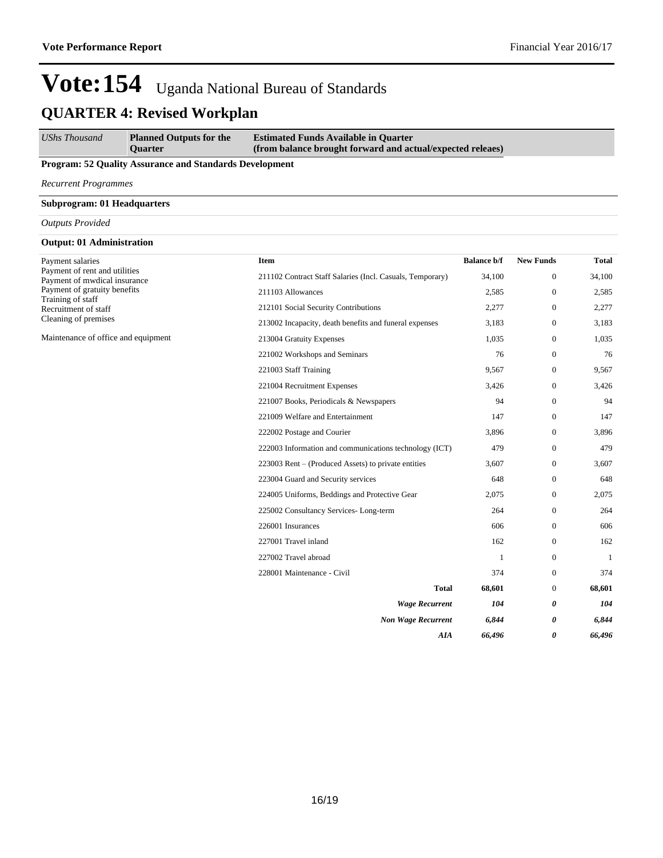## **Vote:154** Uganda National Bureau of Standards **QUARTER 4: Revised Workplan**

*UShs Thousand* **Planned Outputs for the Quarter Estimated Funds Available in Quarter (from balance brought forward and actual/expected releaes)**

#### **Program: 52 Quality Assurance and Standards Development**

*Recurrent Programmes*

#### **Subprogram: 01 Headquarters**

*Outputs Provided*

#### **Output: 01 Administration**

Payment salaries Payment of rent and utilities Payment of mwdical insurance Payment of gratuity benefits Training of staff Recruitment of staff Cleaning of premises

Maintenance of office and equipment

| <b>Item</b>                                               | <b>Balance b/f</b> | <b>New Funds</b> | <b>Total</b> |
|-----------------------------------------------------------|--------------------|------------------|--------------|
| 211102 Contract Staff Salaries (Incl. Casuals, Temporary) | 34,100             | 0                | 34,100       |
| 211103 Allowances                                         | 2,585              | $\mathbf{0}$     | 2,585        |
| 212101 Social Security Contributions                      | 2,277              | $\mathbf{0}$     | 2,277        |
| 213002 Incapacity, death benefits and funeral expenses    | 3,183              | $\mathbf{0}$     | 3.183        |
| 213004 Gratuity Expenses                                  | 1,035              | $\mathbf{0}$     | 1,035        |
| 221002 Workshops and Seminars                             | 76                 | $\Omega$         | 76           |
| 221003 Staff Training                                     | 9.567              | $\mathbf{0}$     | 9.567        |
| 221004 Recruitment Expenses                               | 3,426              | $\Omega$         | 3,426        |
| 221007 Books, Periodicals & Newspapers                    | 94                 | $\Omega$         | 94           |
| 221009 Welfare and Entertainment                          | 147                | $\Omega$         | 147          |
| 222002 Postage and Courier                                | 3.896              | 0                | 3.896        |
| 222003 Information and communications technology (ICT)    | 479                | $\Omega$         | 479          |
| 223003 Rent – (Produced Assets) to private entities       | 3,607              | $\mathbf{0}$     | 3,607        |
| 223004 Guard and Security services                        | 648                | $\mathbf{0}$     | 648          |
| 224005 Uniforms, Beddings and Protective Gear             | 2,075              | $\mathbf{0}$     | 2,075        |
| 225002 Consultancy Services-Long-term                     | 264                | $\mathbf{0}$     | 264          |
| 226001 Insurances                                         | 606                | $\mathbf{0}$     | 606          |
| 227001 Travel inland                                      | 162                | $\Omega$         | 162          |
| 227002 Travel abroad                                      | 1                  | $\mathbf{0}$     | $\mathbf{1}$ |
| 228001 Maintenance - Civil                                | 374                | $\mathbf{0}$     | 374          |
| <b>Total</b>                                              | 68,601             | $\mathbf{0}$     | 68,601       |
| <b>Wage Recurrent</b>                                     | 104                | 0                | 104          |
| <b>Non Wage Recurrent</b>                                 | 6,844              | 0                | 6,844        |
| AIA                                                       | 66.496             | 0                | 66.496       |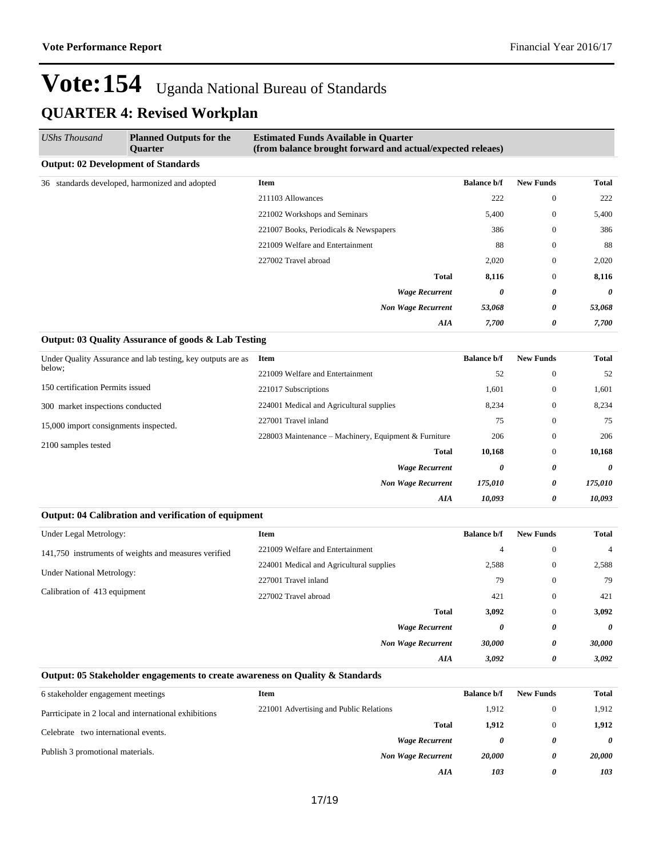## **Vote:154** Uganda National Bureau of Standards **QUARTER 4: Revised Workplan**

| <b>UShs Thousand</b>                       | <b>Planned Outputs for the</b><br><b>Ouarter</b> | <b>Estimated Funds Available in Quarter</b><br>(from balance brought forward and actual/expected releaes) |                    |                  |        |
|--------------------------------------------|--------------------------------------------------|-----------------------------------------------------------------------------------------------------------|--------------------|------------------|--------|
| <b>Output: 02 Development of Standards</b> |                                                  |                                                                                                           |                    |                  |        |
|                                            | 36 standards developed, harmonized and adopted   | <b>Item</b>                                                                                               | <b>Balance b/f</b> | <b>New Funds</b> | Total  |
|                                            |                                                  | 211103 Allowances                                                                                         | 222                | $\overline{0}$   | 222    |
|                                            |                                                  | 221002 Workshops and Seminars                                                                             | 5,400              | $\mathbf{0}$     | 5,400  |
|                                            |                                                  | 221007 Books, Periodicals & Newspapers                                                                    | 386                | $\mathbf{0}$     | 386    |
|                                            |                                                  | 221009 Welfare and Entertainment                                                                          | 88                 | $\mathbf{0}$     | 88     |
|                                            |                                                  | 227002 Travel abroad                                                                                      | 2,020              | $\mathbf{0}$     | 2,020  |
|                                            |                                                  | <b>Total</b>                                                                                              | 8,116              | $\mathbf{0}$     | 8,116  |
|                                            |                                                  | <b>Wage Recurrent</b>                                                                                     | 0                  | 0                | 0      |
|                                            |                                                  | <b>Non Wage Recurrent</b>                                                                                 | 53,068             | 0                | 53,068 |
|                                            |                                                  | <b>AIA</b>                                                                                                | 7,700              | 0                | 7,700  |

### **Output: 03 Quality Assurance of goods & Lab Testing**

| Under Quality Assurance and lab testing, key outputs are as | Item                                                  | <b>Balance b/f</b> | <b>New Funds</b> | <b>Total</b> |
|-------------------------------------------------------------|-------------------------------------------------------|--------------------|------------------|--------------|
| below:                                                      | 221009 Welfare and Entertainment                      | 52                 | $\theta$         | 52           |
| 150 certification Permits issued                            | 221017 Subscriptions                                  | 1,601              | $\theta$         | 1,601        |
| 300 market inspections conducted                            | 224001 Medical and Agricultural supplies              | 8,234              | $\mathbf{0}$     | 8,234        |
| 15,000 import consignments inspected.                       | 227001 Travel inland                                  | 75                 | $\theta$         | 75           |
|                                                             | 228003 Maintenance – Machinery, Equipment & Furniture | 206                | $\mathbf{0}$     | 206          |
| 2100 samples tested                                         | <b>Total</b>                                          | 10,168             | $\mathbf{0}$     | 10,168       |
|                                                             | <b>Wage Recurrent</b>                                 | 0                  | 0                | $\theta$     |
|                                                             | <b>Non Wage Recurrent</b>                             | 175,010            | 0                | 175,010      |
|                                                             | AIA                                                   | 10,093             | 0                | 10.093       |

| Under Legal Metrology:                               | <b>Item</b>                              | <b>Balance b/f</b> | <b>New Funds</b> | <b>Total</b>          |
|------------------------------------------------------|------------------------------------------|--------------------|------------------|-----------------------|
| 141,750 instruments of weights and measures verified | 221009 Welfare and Entertainment         | 4                  | $\theta$         | $\overline{4}$        |
| <b>Under National Metrology:</b>                     | 224001 Medical and Agricultural supplies | 2,588              | $\mathbf{0}$     | 2,588                 |
|                                                      | 227001 Travel inland                     | 79                 | $\mathbf{0}$     | 79                    |
| Calibration of 413 equipment                         | 227002 Travel abroad                     | 421                | $\theta$         | 421                   |
|                                                      | <b>Total</b>                             | 3,092              | $\theta$         | 3,092                 |
|                                                      | <b>Wage Recurrent</b>                    | 0                  | 0                | $\boldsymbol{\theta}$ |
|                                                      | <b>Non Wage Recurrent</b>                | 30,000             | 0                | 30,000                |
|                                                      | AIA                                      | 3,092              | 0                | 3,092                 |

#### **Output: 05 Stakeholder engagements to create awareness on Quality & Standards**

| 6 stakeholder engagement meetings                                          | Item                                    | <b>Balance b/f</b> | <b>New Funds</b> | Total  |
|----------------------------------------------------------------------------|-----------------------------------------|--------------------|------------------|--------|
| Parrticipate in 2 local and international exhibitions                      | 221001 Advertising and Public Relations | 1,912              |                  | 1,912  |
| two international events.<br>Celebrate<br>Publish 3 promotional materials. | <b>Total</b>                            | 1.912              |                  | 1,912  |
|                                                                            | <b>Wage Recurrent</b>                   | 0                  | 0                | 0      |
|                                                                            | <b>Non Wage Recurrent</b>               | 20,000             | 0                | 20,000 |
|                                                                            | AIA                                     | 103                | $\theta$         | 103    |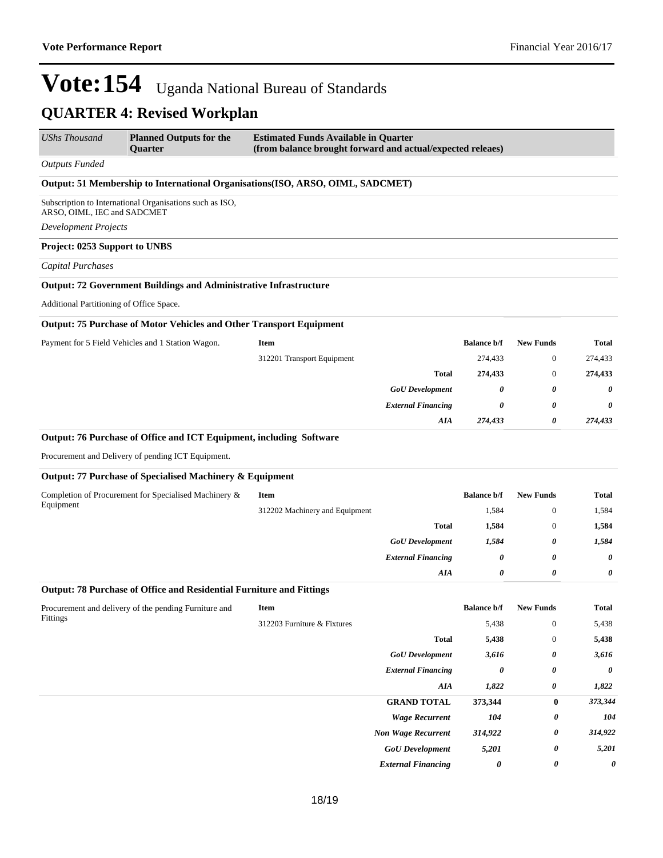## **QUARTER 4: Revised Workplan**

| UShs Thousand                                     | <b>Planned Outputs for the</b><br>Quarter                                  | <b>Estimated Funds Available in Quarter</b><br>(from balance brought forward and actual/expected releaes) |                    |                  |                       |
|---------------------------------------------------|----------------------------------------------------------------------------|-----------------------------------------------------------------------------------------------------------|--------------------|------------------|-----------------------|
| <b>Outputs Funded</b>                             |                                                                            |                                                                                                           |                    |                  |                       |
|                                                   |                                                                            | Output: 51 Membership to International Organisations (ISO, ARSO, OIML, SADCMET)                           |                    |                  |                       |
| ARSO, OIML, IEC and SADCMET                       | Subscription to International Organisations such as ISO,                   |                                                                                                           |                    |                  |                       |
| <b>Development Projects</b>                       |                                                                            |                                                                                                           |                    |                  |                       |
| Project: 0253 Support to UNBS                     |                                                                            |                                                                                                           |                    |                  |                       |
| <b>Capital Purchases</b>                          |                                                                            |                                                                                                           |                    |                  |                       |
|                                                   | <b>Output: 72 Government Buildings and Administrative Infrastructure</b>   |                                                                                                           |                    |                  |                       |
| Additional Partitioning of Office Space.          |                                                                            |                                                                                                           |                    |                  |                       |
|                                                   | <b>Output: 75 Purchase of Motor Vehicles and Other Transport Equipment</b> |                                                                                                           |                    |                  |                       |
| Payment for 5 Field Vehicles and 1 Station Wagon. | Item                                                                       | <b>Balance b/f</b>                                                                                        | <b>New Funds</b>   | <b>Total</b>     |                       |
|                                                   |                                                                            | 312201 Transport Equipment                                                                                | 274,433            | $\boldsymbol{0}$ | 274,433               |
|                                                   |                                                                            | <b>Total</b>                                                                                              | 274,433            | $\mathbf{0}$     | 274,433               |
|                                                   |                                                                            | <b>GoU</b> Development                                                                                    | 0                  | 0                | 0                     |
|                                                   |                                                                            | <b>External Financing</b>                                                                                 | 0                  | 0                | 0                     |
|                                                   | AIA                                                                        | 274,433                                                                                                   | 0                  | 274,433          |                       |
|                                                   | Output: 76 Purchase of Office and ICT Equipment, including Software        |                                                                                                           |                    |                  |                       |
|                                                   | Procurement and Delivery of pending ICT Equipment.                         |                                                                                                           |                    |                  |                       |
|                                                   | Output: 77 Purchase of Specialised Machinery & Equipment                   |                                                                                                           |                    |                  |                       |
|                                                   | Completion of Procurement for Specialised Machinery &                      | Item                                                                                                      | <b>Balance b/f</b> | <b>New Funds</b> | <b>Total</b>          |
| Equipment                                         |                                                                            | 312202 Machinery and Equipment                                                                            | 1,584              | $\boldsymbol{0}$ | 1,584                 |
|                                                   |                                                                            | <b>Total</b>                                                                                              | 1,584              | $\boldsymbol{0}$ | 1,584                 |
|                                                   |                                                                            | <b>GoU</b> Development                                                                                    | 1,584              | 0                | 1,584                 |
|                                                   |                                                                            | <b>External Financing</b>                                                                                 | 0                  | 0                | 0                     |
|                                                   |                                                                            | AIA                                                                                                       | 0                  | 0                | 0                     |
|                                                   | Output: 78 Purchase of Office and Residential Furniture and Fittings       |                                                                                                           |                    |                  |                       |
|                                                   | Procurement and delivery of the pending Furniture and                      | Item                                                                                                      | <b>Balance b/f</b> | <b>New Funds</b> | <b>Total</b>          |
| Fittings                                          | 312203 Furniture & Fixtures                                                | 5,438                                                                                                     | $\boldsymbol{0}$   | 5,438            |                       |
|                                                   | <b>Total</b>                                                               | 5,438                                                                                                     | $\mathbf{0}$       | 5,438            |                       |
|                                                   | <b>GoU</b> Development                                                     | 3,616                                                                                                     | 0                  | 3,616            |                       |
|                                                   | <b>External Financing</b>                                                  | 0                                                                                                         | 0                  | 0                |                       |
|                                                   | AIA                                                                        | 1,822                                                                                                     | 0                  | 1,822            |                       |
|                                                   |                                                                            | <b>GRAND TOTAL</b>                                                                                        | 373,344            | $\bf{0}$         | 373,344               |
|                                                   |                                                                            | <b>Wage Recurrent</b>                                                                                     | 104                | 0                | 104                   |
|                                                   |                                                                            | <b>Non Wage Recurrent</b>                                                                                 | 314,922            | 0                | 314,922               |
|                                                   |                                                                            | <b>GoU</b> Development                                                                                    | 5,201              | 0                | 5,201                 |
|                                                   |                                                                            | <b>External Financing</b>                                                                                 | 0                  | 0                | $\boldsymbol{\theta}$ |